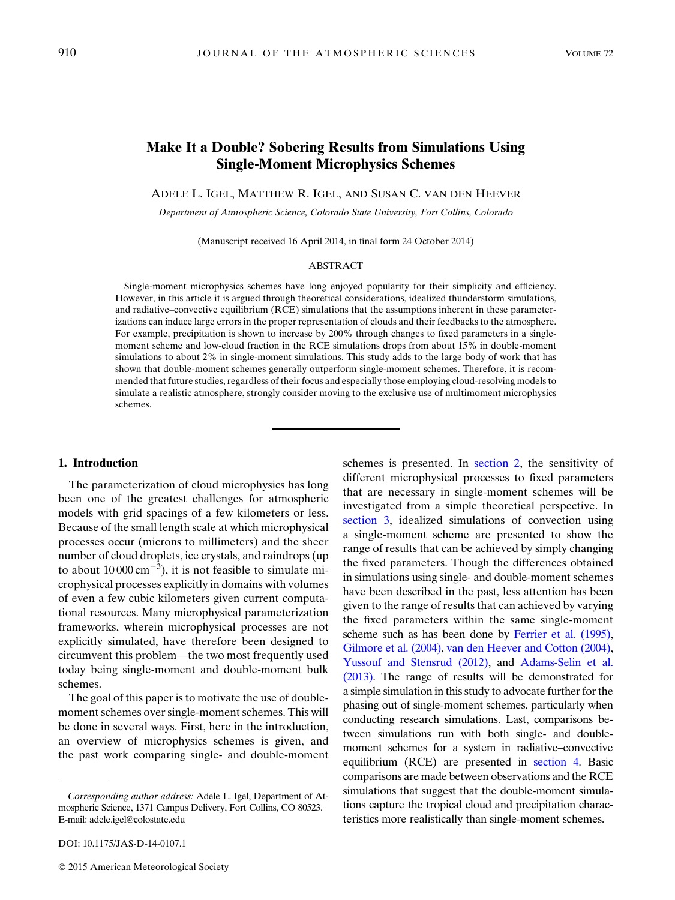# Make It a Double? Sobering Results from Simulations Using Single-Moment Microphysics Schemes

ADELE L. IGEL, MATTHEW R. IGEL, AND SUSAN C. VAN DEN HEEVER

Department of Atmospheric Science, Colorado State University, Fort Collins, Colorado

(Manuscript received 16 April 2014, in final form 24 October 2014)

#### ABSTRACT

Single-moment microphysics schemes have long enjoyed popularity for their simplicity and efficiency. However, in this article it is argued through theoretical considerations, idealized thunderstorm simulations, and radiative–convective equilibrium (RCE) simulations that the assumptions inherent in these parameterizations can induce large errors in the proper representation of clouds and their feedbacks to the atmosphere. For example, precipitation is shown to increase by 200% through changes to fixed parameters in a singlemoment scheme and low-cloud fraction in the RCE simulations drops from about 15% in double-moment simulations to about 2% in single-moment simulations. This study adds to the large body of work that has shown that double-moment schemes generally outperform single-moment schemes. Therefore, it is recommended that future studies, regardless of their focus and especially those employing cloud-resolving models to simulate a realistic atmosphere, strongly consider moving to the exclusive use of multimoment microphysics schemes.

# 1. Introduction

The parameterization of cloud microphysics has long been one of the greatest challenges for atmospheric models with grid spacings of a few kilometers or less. Because of the small length scale at which microphysical processes occur (microns to millimeters) and the sheer number of cloud droplets, ice crystals, and raindrops (up to about  $10000 \text{ cm}^{-3}$ ), it is not feasible to simulate microphysical processes explicitly in domains with volumes of even a few cubic kilometers given current computational resources. Many microphysical parameterization frameworks, wherein microphysical processes are not explicitly simulated, have therefore been designed to circumvent this problem—the two most frequently used today being single-moment and double-moment bulk schemes.

The goal of this paper is to motivate the use of doublemoment schemes over single-moment schemes. This will be done in several ways. First, here in the introduction, an overview of microphysics schemes is given, and the past work comparing single- and double-moment

DOI: 10.1175/JAS-D-14-0107.1

schemes is presented. In [section 2,](#page-2-0) the sensitivity of different microphysical processes to fixed parameters that are necessary in single-moment schemes will be investigated from a simple theoretical perspective. In [section 3](#page-3-0), idealized simulations of convection using a single-moment scheme are presented to show the range of results that can be achieved by simply changing the fixed parameters. Though the differences obtained in simulations using single- and double-moment schemes have been described in the past, less attention has been given to the range of results that can achieved by varying the fixed parameters within the same single-moment scheme such as has been done by [Ferrier et al. \(1995\),](#page-13-0) [Gilmore et al. \(2004\),](#page-13-1) [van den Heever and Cotton \(2004\),](#page-14-0) [Yussouf and Stensrud \(2012\)](#page-15-0), and [Adams-Selin et al.](#page-12-0) [\(2013\)](#page-12-0). The range of results will be demonstrated for a simple simulation in this study to advocate further for the phasing out of single-moment schemes, particularly when conducting research simulations. Last, comparisons between simulations run with both single- and doublemoment schemes for a system in radiative–convective equilibrium (RCE) are presented in [section 4](#page-7-0). Basic comparisons are made between observations and the RCE simulations that suggest that the double-moment simulations capture the tropical cloud and precipitation characteristics more realistically than single-moment schemes.

Corresponding author address: Adele L. Igel, Department of Atmospheric Science, 1371 Campus Delivery, Fort Collins, CO 80523. E-mail: [adele.igel@colostate.edu](mailto:adele.igel@colostate.edu)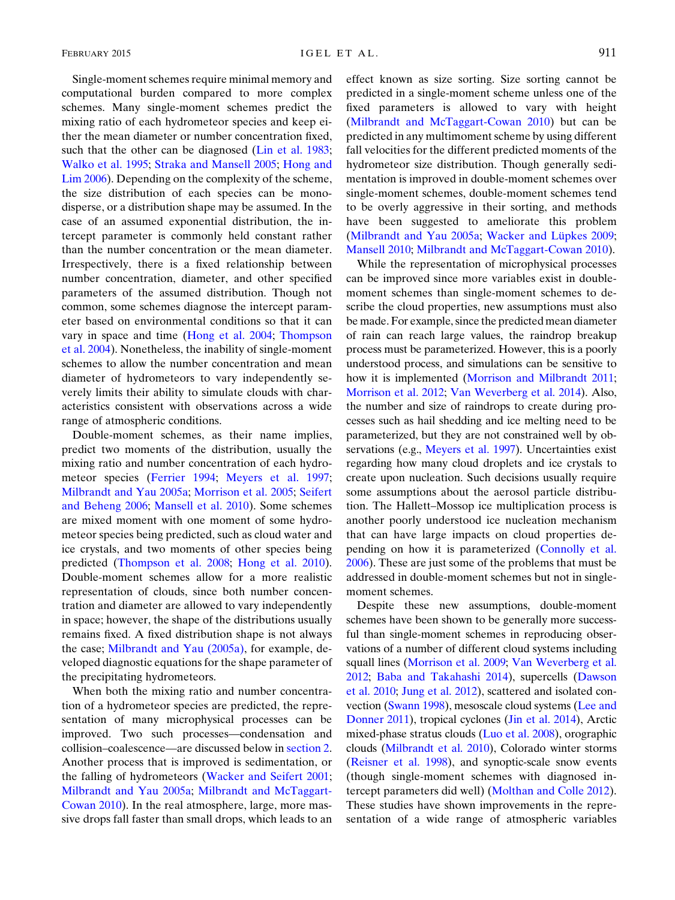Single-moment schemes require minimal memory and computational burden compared to more complex schemes. Many single-moment schemes predict the mixing ratio of each hydrometeor species and keep either the mean diameter or number concentration fixed, such that the other can be diagnosed [\(Lin et al. 1983;](#page-13-2) [Walko et al. 1995;](#page-14-1) [Straka and Mansell 2005](#page-14-2); [Hong and](#page-13-3) [Lim 2006\)](#page-13-3). Depending on the complexity of the scheme, the size distribution of each species can be monodisperse, or a distribution shape may be assumed. In the case of an assumed exponential distribution, the intercept parameter is commonly held constant rather than the number concentration or the mean diameter. Irrespectively, there is a fixed relationship between number concentration, diameter, and other specified parameters of the assumed distribution. Though not common, some schemes diagnose the intercept parameter based on environmental conditions so that it can vary in space and time [\(Hong et al. 2004;](#page-13-4) [Thompson](#page-14-3) [et al. 2004\)](#page-14-3). Nonetheless, the inability of single-moment schemes to allow the number concentration and mean diameter of hydrometeors to vary independently severely limits their ability to simulate clouds with characteristics consistent with observations across a wide range of atmospheric conditions.

Double-moment schemes, as their name implies, predict two moments of the distribution, usually the mixing ratio and number concentration of each hydrometeor species ([Ferrier 1994](#page-12-1); [Meyers et al. 1997;](#page-13-5) [Milbrandt and Yau 2005a;](#page-13-6) [Morrison et al. 2005](#page-13-7); [Seifert](#page-14-4) [and Beheng 2006](#page-14-4); [Mansell et al. 2010](#page-13-8)). Some schemes are mixed moment with one moment of some hydrometeor species being predicted, such as cloud water and ice crystals, and two moments of other species being predicted ([Thompson et al. 2008;](#page-14-5) [Hong et al. 2010\)](#page-13-9). Double-moment schemes allow for a more realistic representation of clouds, since both number concentration and diameter are allowed to vary independently in space; however, the shape of the distributions usually remains fixed. A fixed distribution shape is not always the case; [Milbrandt and Yau \(2005a\)](#page-13-6), for example, developed diagnostic equations for the shape parameter of the precipitating hydrometeors.

When both the mixing ratio and number concentration of a hydrometeor species are predicted, the representation of many microphysical processes can be improved. Two such processes—condensation and collision–coalescence—are discussed below in [section 2.](#page-2-0) Another process that is improved is sedimentation, or the falling of hydrometeors [\(Wacker and Seifert 2001;](#page-14-6) [Milbrandt and Yau 2005a](#page-13-6); [Milbrandt and McTaggart-](#page-13-10)[Cowan 2010](#page-13-10)). In the real atmosphere, large, more massive drops fall faster than small drops, which leads to an effect known as size sorting. Size sorting cannot be predicted in a single-moment scheme unless one of the fixed parameters is allowed to vary with height ([Milbrandt and McTaggart-Cowan 2010\)](#page-13-10) but can be predicted in any multimoment scheme by using different fall velocities for the different predicted moments of the hydrometeor size distribution. Though generally sedimentation is improved in double-moment schemes over single-moment schemes, double-moment schemes tend to be overly aggressive in their sorting, and methods have been suggested to ameliorate this problem ([Milbrandt and Yau 2005a;](#page-13-6) [Wacker and L](#page-14-7)üpkes 2009; [Mansell 2010](#page-13-11); [Milbrandt and McTaggart-Cowan 2010\)](#page-13-10).

While the representation of microphysical processes can be improved since more variables exist in doublemoment schemes than single-moment schemes to describe the cloud properties, new assumptions must also be made. For example, since the predicted mean diameter of rain can reach large values, the raindrop breakup process must be parameterized. However, this is a poorly understood process, and simulations can be sensitive to how it is implemented [\(Morrison and Milbrandt 2011;](#page-13-12) [Morrison et al. 2012](#page-14-8); [Van Weverberg et al. 2014\)](#page-14-9). Also, the number and size of raindrops to create during processes such as hail shedding and ice melting need to be parameterized, but they are not constrained well by ob-servations (e.g., [Meyers et al. 1997\)](#page-13-5). Uncertainties exist regarding how many cloud droplets and ice crystals to create upon nucleation. Such decisions usually require some assumptions about the aerosol particle distribution. The Hallett–Mossop ice multiplication process is another poorly understood ice nucleation mechanism that can have large impacts on cloud properties depending on how it is parameterized ([Connolly et al.](#page-12-2) [2006\)](#page-12-2). These are just some of the problems that must be addressed in double-moment schemes but not in singlemoment schemes.

Despite these new assumptions, double-moment schemes have been shown to be generally more successful than single-moment schemes in reproducing observations of a number of different cloud systems including squall lines [\(Morrison et al. 2009;](#page-13-13) [Van Weverberg et al.](#page-14-10) [2012](#page-14-10); [Baba and Takahashi 2014\)](#page-12-3), supercells [\(Dawson](#page-12-4) [et al. 2010](#page-12-4); [Jung et al. 2012\)](#page-13-14), scattered and isolated convection [\(Swann 1998](#page-14-11)), mesoscale cloud systems [\(Lee and](#page-13-15) [Donner 2011\)](#page-13-15), tropical cyclones [\(Jin et al. 2014\)](#page-13-16), Arctic mixed-phase stratus clouds ([Luo et al. 2008\)](#page-13-17), orographic clouds ([Milbrandt et al. 2010\)](#page-13-18), Colorado winter storms [\(Reisner et al. 1998\)](#page-14-12), and synoptic-scale snow events (though single-moment schemes with diagnosed intercept parameters did well) [\(Molthan and Colle 2012](#page-13-19)). These studies have shown improvements in the representation of a wide range of atmospheric variables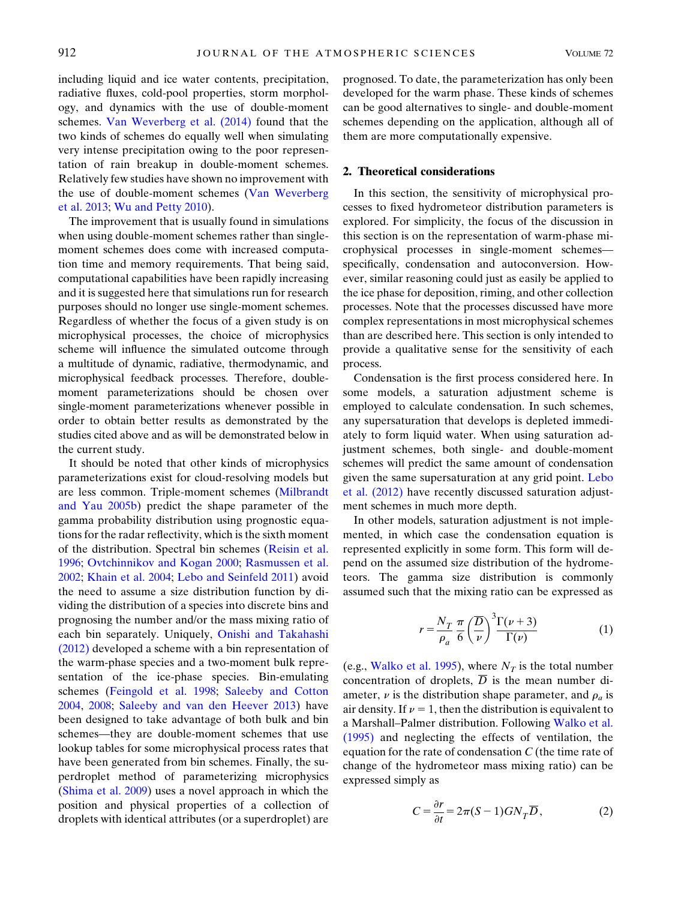including liquid and ice water contents, precipitation, radiative fluxes, cold-pool properties, storm morphology, and dynamics with the use of double-moment schemes. [Van Weverberg et al. \(2014\)](#page-14-9) found that the two kinds of schemes do equally well when simulating very intense precipitation owing to the poor representation of rain breakup in double-moment schemes. Relatively few studies have shown no improvement with the use of double-moment schemes ([Van Weverberg](#page-14-13) [et al. 2013;](#page-14-13) [Wu and Petty 2010](#page-15-1)).

The improvement that is usually found in simulations when using double-moment schemes rather than singlemoment schemes does come with increased computation time and memory requirements. That being said, computational capabilities have been rapidly increasing and it is suggested here that simulations run for research purposes should no longer use single-moment schemes. Regardless of whether the focus of a given study is on microphysical processes, the choice of microphysics scheme will influence the simulated outcome through a multitude of dynamic, radiative, thermodynamic, and microphysical feedback processes. Therefore, doublemoment parameterizations should be chosen over single-moment parameterizations whenever possible in order to obtain better results as demonstrated by the studies cited above and as will be demonstrated below in the current study.

It should be noted that other kinds of microphysics parameterizations exist for cloud-resolving models but are less common. Triple-moment schemes ([Milbrandt](#page-13-20) [and Yau 2005b\)](#page-13-20) predict the shape parameter of the gamma probability distribution using prognostic equations for the radar reflectivity, which is the sixth moment of the distribution. Spectral bin schemes [\(Reisin et al.](#page-14-14) [1996;](#page-14-14) [Ovtchinnikov and Kogan 2000](#page-14-15); [Rasmussen et al.](#page-14-16) [2002;](#page-14-16) [Khain et al. 2004;](#page-13-21) [Lebo and Seinfeld 2011\)](#page-13-22) avoid the need to assume a size distribution function by dividing the distribution of a species into discrete bins and prognosing the number and/or the mass mixing ratio of each bin separately. Uniquely, [Onishi and Takahashi](#page-14-17) [\(2012\)](#page-14-17) developed a scheme with a bin representation of the warm-phase species and a two-moment bulk representation of the ice-phase species. Bin-emulating schemes [\(Feingold et al. 1998](#page-12-5); [Saleeby and Cotton](#page-14-18) [2004,](#page-14-18) [2008;](#page-14-19) [Saleeby and van den Heever 2013\)](#page-14-20) have been designed to take advantage of both bulk and bin schemes—they are double-moment schemes that use lookup tables for some microphysical process rates that have been generated from bin schemes. Finally, the superdroplet method of parameterizing microphysics ([Shima et al. 2009\)](#page-14-21) uses a novel approach in which the position and physical properties of a collection of droplets with identical attributes (or a superdroplet) are

prognosed. To date, the parameterization has only been developed for the warm phase. These kinds of schemes can be good alternatives to single- and double-moment schemes depending on the application, although all of them are more computationally expensive.

# <span id="page-2-0"></span>2. Theoretical considerations

In this section, the sensitivity of microphysical processes to fixed hydrometeor distribution parameters is explored. For simplicity, the focus of the discussion in this section is on the representation of warm-phase microphysical processes in single-moment schemes specifically, condensation and autoconversion. However, similar reasoning could just as easily be applied to the ice phase for deposition, riming, and other collection processes. Note that the processes discussed have more complex representations in most microphysical schemes than are described here. This section is only intended to provide a qualitative sense for the sensitivity of each process.

Condensation is the first process considered here. In some models, a saturation adjustment scheme is employed to calculate condensation. In such schemes, any supersaturation that develops is depleted immediately to form liquid water. When using saturation adjustment schemes, both single- and double-moment schemes will predict the same amount of condensation given the same supersaturation at any grid point. [Lebo](#page-13-23) [et al. \(2012\)](#page-13-23) have recently discussed saturation adjustment schemes in much more depth.

In other models, saturation adjustment is not implemented, in which case the condensation equation is represented explicitly in some form. This form will depend on the assumed size distribution of the hydrometeors. The gamma size distribution is commonly assumed such that the mixing ratio can be expressed as

$$
r = \frac{N_T}{\rho_a} \frac{\pi}{6} \left(\frac{\overline{D}}{\nu}\right)^3 \frac{\Gamma(\nu+3)}{\Gamma(\nu)}\tag{1}
$$

<span id="page-2-1"></span>(e.g., [Walko et al. 1995\)](#page-14-1), where  $N_T$  is the total number concentration of droplets,  $\overline{D}$  is the mean number diameter,  $\nu$  is the distribution shape parameter, and  $\rho_a$  is air density. If  $\nu = 1$ , then the distribution is equivalent to a Marshall–Palmer distribution. Following [Walko et al.](#page-14-1) [\(1995\)](#page-14-1) and neglecting the effects of ventilation, the equation for the rate of condensation  $C$  (the time rate of change of the hydrometeor mass mixing ratio) can be expressed simply as

<span id="page-2-2"></span>
$$
C = \frac{\partial r}{\partial t} = 2\pi (S - 1) G N_T \overline{D}, \qquad (2)
$$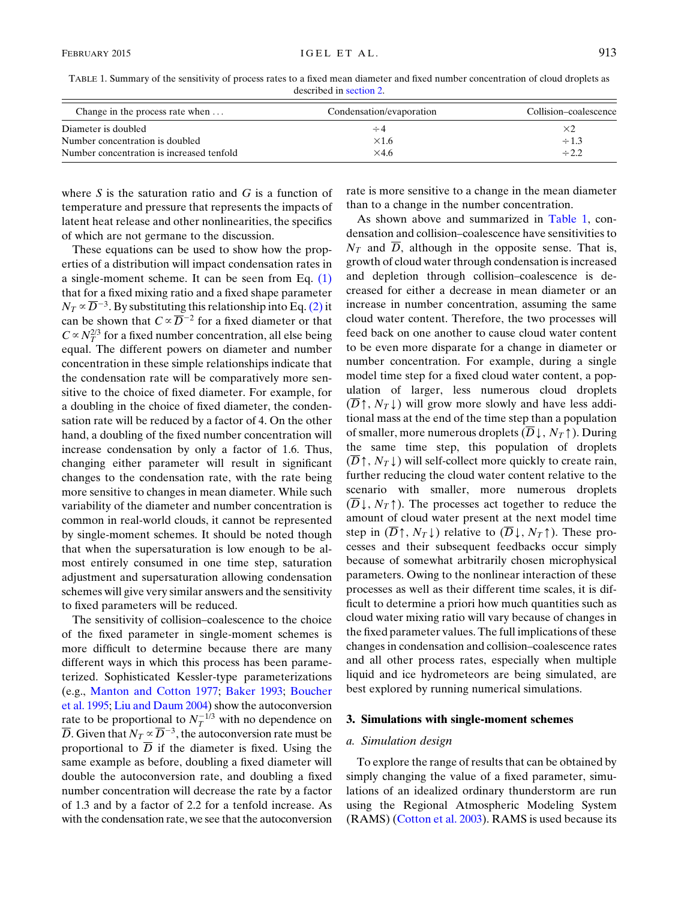<span id="page-3-1"></span>TABLE 1. Summary of the sensitivity of process rates to a fixed mean diameter and fixed number concentration of cloud droplets as described in [section 2](#page-2-0).

| Change in the process rate when           | Condensation/evaporation | Collision–coalescence |  |  |
|-------------------------------------------|--------------------------|-----------------------|--|--|
| Diameter is doubled                       | $\div 4$                 | ×2                    |  |  |
| Number concentration is doubled           | $\times$ 1.6             | $\div 1.3$            |  |  |
| Number concentration is increased tenfold | $\times$ 4.6             | $\div 2.2$            |  |  |

where  $S$  is the saturation ratio and  $G$  is a function of temperature and pressure that represents the impacts of latent heat release and other nonlinearities, the specifics of which are not germane to the discussion.

These equations can be used to show how the properties of a distribution will impact condensation rates in a single-moment scheme. It can be seen from Eq.  $(1)$ that for a fixed mixing ratio and a fixed shape parameter  $N_T \propto \overline{D}^{-3}$ . By substituting this relationship into Eq. [\(2\)](#page-2-2) it can be shown that  $C \propto \overline{D}^{-2}$  for a fixed diameter or that  $C \propto N_T^{2/3}$  for a fixed number concentration, all else being equal. The different powers on diameter and number concentration in these simple relationships indicate that the condensation rate will be comparatively more sensitive to the choice of fixed diameter. For example, for a doubling in the choice of fixed diameter, the condensation rate will be reduced by a factor of 4. On the other hand, a doubling of the fixed number concentration will increase condensation by only a factor of 1.6. Thus, changing either parameter will result in significant changes to the condensation rate, with the rate being more sensitive to changes in mean diameter. While such variability of the diameter and number concentration is common in real-world clouds, it cannot be represented by single-moment schemes. It should be noted though that when the supersaturation is low enough to be almost entirely consumed in one time step, saturation adjustment and supersaturation allowing condensation schemes will give very similar answers and the sensitivity to fixed parameters will be reduced.

The sensitivity of collision–coalescence to the choice of the fixed parameter in single-moment schemes is more difficult to determine because there are many different ways in which this process has been parameterized. Sophisticated Kessler-type parameterizations (e.g., [Manton and Cotton 1977](#page-13-24); [Baker 1993;](#page-12-6) [Boucher](#page-12-7) [et al. 1995;](#page-12-7) [Liu and Daum 2004\)](#page-13-25) show the autoconversion rate to be proportional to  $N_T^{-1/3}$  with no dependence on  $\overline{D}$ . Given that  $N_T \propto \overline{D}^{-3}$ , the autoconversion rate must be proportional to  $\overline{D}$  if the diameter is fixed. Using the same example as before, doubling a fixed diameter will double the autoconversion rate, and doubling a fixed number concentration will decrease the rate by a factor of 1.3 and by a factor of 2.2 for a tenfold increase. As with the condensation rate, we see that the autoconversion rate is more sensitive to a change in the mean diameter than to a change in the number concentration.

As shown above and summarized in [Table 1,](#page-3-1) condensation and collision–coalescence have sensitivities to  $N<sub>T</sub>$  and  $\overline{D}$ , although in the opposite sense. That is, growth of cloud water through condensation is increased and depletion through collision–coalescence is decreased for either a decrease in mean diameter or an increase in number concentration, assuming the same cloud water content. Therefore, the two processes will feed back on one another to cause cloud water content to be even more disparate for a change in diameter or number concentration. For example, during a single model time step for a fixed cloud water content, a population of larger, less numerous cloud droplets  $(D \uparrow, N_T \downarrow)$  will grow more slowly and have less additional mass at the end of the time step than a population of smaller, more numerous droplets  $(\overline{D}\downarrow, N_T\uparrow)$ . During the same time step, this population of droplets  $(D \uparrow, N_T \downarrow)$  will self-collect more quickly to create rain, further reducing the cloud water content relative to the scenario with smaller, more numerous droplets  $(D\downarrow, N_T\uparrow)$ . The processes act together to reduce the amount of cloud water present at the next model time step in  $(\overline{D}\uparrow, N_T\downarrow)$  relative to  $(\overline{D}\downarrow, N_T\uparrow)$ . These processes and their subsequent feedbacks occur simply because of somewhat arbitrarily chosen microphysical parameters. Owing to the nonlinear interaction of these processes as well as their different time scales, it is difficult to determine a priori how much quantities such as cloud water mixing ratio will vary because of changes in the fixed parameter values. The full implications of these changes in condensation and collision–coalescence rates and all other process rates, especially when multiple liquid and ice hydrometeors are being simulated, are best explored by running numerical simulations.

#### <span id="page-3-0"></span>3. Simulations with single-moment schemes

## a. Simulation design

To explore the range of results that can be obtained by simply changing the value of a fixed parameter, simulations of an idealized ordinary thunderstorm are run using the Regional Atmospheric Modeling System (RAMS) [\(Cotton et al. 2003](#page-12-8)). RAMS is used because its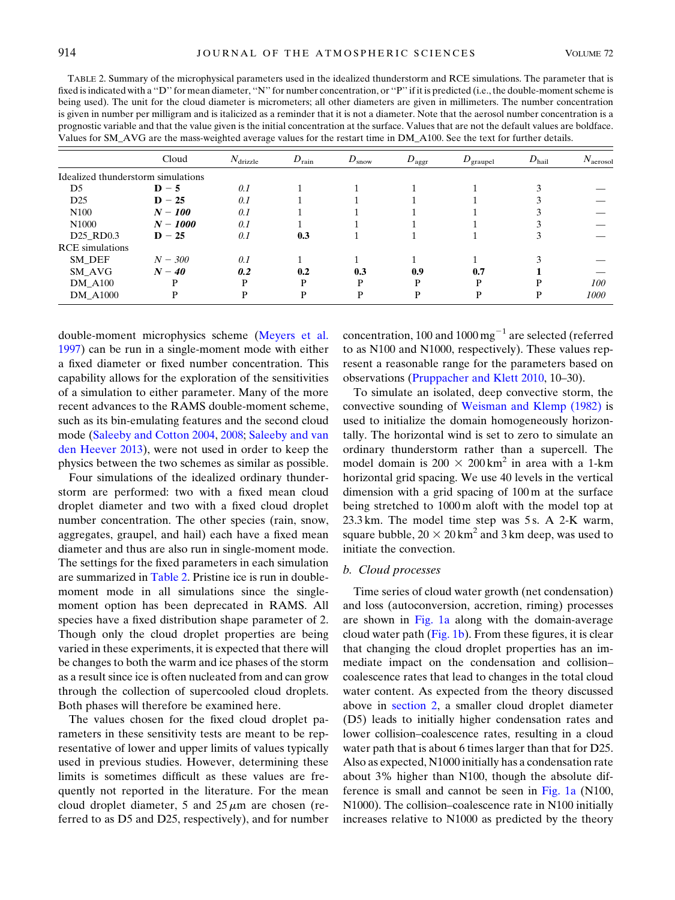<span id="page-4-0"></span>TABLE 2. Summary of the microphysical parameters used in the idealized thunderstorm and RCE simulations. The parameter that is fixed is indicated with a "D" for mean diameter, "N" for number concentration, or "P" if it is predicted (i.e., the double-moment scheme is being used). The unit for the cloud diameter is micrometers; all other diameters are given in millimeters. The number concentration is given in number per milligram and is italicized as a reminder that it is not a diameter. Note that the aerosol number concentration is a prognostic variable and that the value given is the initial concentration at the surface. Values that are not the default values are boldface. Values for SM\_AVG are the mass-weighted average values for the restart time in DM\_A100. See the text for further details.

|                                    | Cloud      | $N_{\text{drizable}}$ | $D_{\text{rain}}$ | $D_{\text{snow}}$ | $D_{\text{aggr}}$ | $D_{\text{graupel}}$ | $D_{\text{hail}}$ | $N_{\text{aerosol}}$ |
|------------------------------------|------------|-----------------------|-------------------|-------------------|-------------------|----------------------|-------------------|----------------------|
| Idealized thunderstorm simulations |            |                       |                   |                   |                   |                      |                   |                      |
| D5                                 | $D - 5$    | 0.1                   |                   |                   |                   |                      |                   |                      |
| D25                                | $D - 25$   | 0.1                   |                   |                   |                   |                      |                   |                      |
| N <sub>100</sub>                   | $N - 100$  | 0.1                   |                   |                   |                   |                      |                   |                      |
| N <sub>1000</sub>                  | $N - 1000$ | 0.1                   |                   |                   |                   |                      |                   |                      |
| D <sub>25</sub> RD <sub>0.3</sub>  | $D - 25$   | 0.1                   | 0.3               |                   |                   |                      |                   |                      |
| <b>RCE</b> simulations             |            |                       |                   |                   |                   |                      |                   |                      |
| SM_DEF                             | $N - 300$  | 0.1                   |                   |                   |                   |                      |                   |                      |
| SM_AVG                             | $N - 40$   | 0.2                   | 0.2               | 0.3               | 0.9               | 0.7                  |                   |                      |
| <b>DM A100</b>                     | D          | D                     | D                 | D                 | P                 | D                    | D                 | <i>100</i>           |
| <b>DM A1000</b>                    | D          | D                     | D                 | P                 | P                 | D                    | D                 | 1000                 |

double-moment microphysics scheme [\(Meyers et al.](#page-13-5) [1997\)](#page-13-5) can be run in a single-moment mode with either a fixed diameter or fixed number concentration. This capability allows for the exploration of the sensitivities of a simulation to either parameter. Many of the more recent advances to the RAMS double-moment scheme, such as its bin-emulating features and the second cloud mode [\(Saleeby and Cotton 2004,](#page-14-18) [2008](#page-14-19); [Saleeby and van](#page-14-20) [den Heever 2013](#page-14-20)), were not used in order to keep the physics between the two schemes as similar as possible.

Four simulations of the idealized ordinary thunderstorm are performed: two with a fixed mean cloud droplet diameter and two with a fixed cloud droplet number concentration. The other species (rain, snow, aggregates, graupel, and hail) each have a fixed mean diameter and thus are also run in single-moment mode. The settings for the fixed parameters in each simulation are summarized in [Table 2](#page-4-0). Pristine ice is run in doublemoment mode in all simulations since the singlemoment option has been deprecated in RAMS. All species have a fixed distribution shape parameter of 2. Though only the cloud droplet properties are being varied in these experiments, it is expected that there will be changes to both the warm and ice phases of the storm as a result since ice is often nucleated from and can grow through the collection of supercooled cloud droplets. Both phases will therefore be examined here.

The values chosen for the fixed cloud droplet parameters in these sensitivity tests are meant to be representative of lower and upper limits of values typically used in previous studies. However, determining these limits is sometimes difficult as these values are frequently not reported in the literature. For the mean cloud droplet diameter, 5 and  $25 \mu m$  are chosen (referred to as D5 and D25, respectively), and for number concentration, 100 and 1000 mg<sup> $^{-1}$ </sup> are selected (referred to as N100 and N1000, respectively). These values represent a reasonable range for the parameters based on observations [\(Pruppacher and Klett 2010](#page-14-22), 10–30).

To simulate an isolated, deep convective storm, the convective sounding of [Weisman and Klemp \(1982\)](#page-15-2) is used to initialize the domain homogeneously horizontally. The horizontal wind is set to zero to simulate an ordinary thunderstorm rather than a supercell. The model domain is  $200 \times 200 \text{ km}^2$  in area with a 1-km horizontal grid spacing. We use 40 levels in the vertical dimension with a grid spacing of 100 m at the surface being stretched to 1000 m aloft with the model top at  $23.3 \text{ km}$ . The model time step was 5s. A  $2\text{-}K$  warm, square bubble,  $20 \times 20 \text{ km}^2$  and 3 km deep, was used to initiate the convection.

#### b. Cloud processes

Time series of cloud water growth (net condensation) and loss (autoconversion, accretion, riming) processes are shown in [Fig. 1a](#page-5-0) along with the domain-average cloud water path  $(Fig. 1b)$  $(Fig. 1b)$ . From these figures, it is clear that changing the cloud droplet properties has an immediate impact on the condensation and collision– coalescence rates that lead to changes in the total cloud water content. As expected from the theory discussed above in [section 2](#page-2-0), a smaller cloud droplet diameter (D5) leads to initially higher condensation rates and lower collision–coalescence rates, resulting in a cloud water path that is about 6 times larger than that for D25. Also as expected, N1000 initially has a condensation rate about 3% higher than N100, though the absolute difference is small and cannot be seen in [Fig. 1a](#page-5-0) (N100, N1000). The collision–coalescence rate in N100 initially increases relative to N1000 as predicted by the theory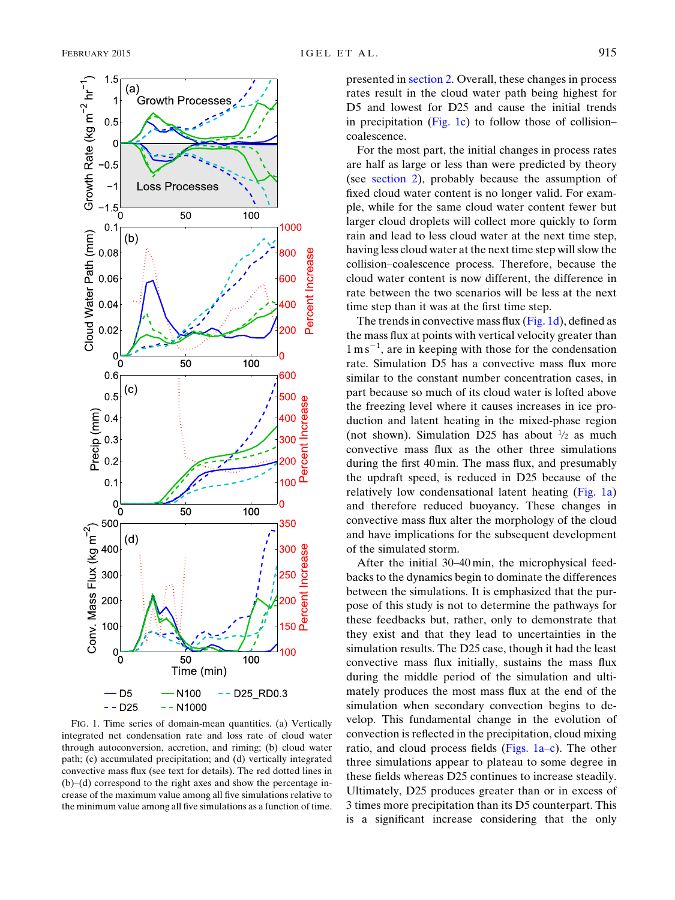<span id="page-5-0"></span>

FIG. 1. Time series of domain-mean quantities. (a) Vertically integrated net condensation rate and loss rate of cloud water through autoconversion, accretion, and riming; (b) cloud water path; (c) accumulated precipitation; and (d) vertically integrated convective mass flux (see text for details). The red dotted lines in (b)–(d) correspond to the right axes and show the percentage increase of the maximum value among all five simulations relative to the minimum value among all five simulations as a function of time.

presented in [section 2](#page-2-0). Overall, these changes in process rates result in the cloud water path being highest for D5 and lowest for D25 and cause the initial trends in precipitation  $(Fig, 1c)$  to follow those of collision– coalescence.

For the most part, the initial changes in process rates are half as large or less than were predicted by theory (see [section 2\)](#page-2-0), probably because the assumption of fixed cloud water content is no longer valid. For example, while for the same cloud water content fewer but larger cloud droplets will collect more quickly to form rain and lead to less cloud water at the next time step, having less cloud water at the next time step will slow the collision–coalescence process. Therefore, because the cloud water content is now different, the difference in rate between the two scenarios will be less at the next time step than it was at the first time step.

The trends in convective mass flux  $(Fig. 1d)$  $(Fig. 1d)$ , defined as the mass flux at points with vertical velocity greater than  $1 \text{ m s}^{-1}$ , are in keeping with those for the condensation rate. Simulation D5 has a convective mass flux more similar to the constant number concentration cases, in part because so much of its cloud water is lofted above the freezing level where it causes increases in ice production and latent heating in the mixed-phase region (not shown). Simulation D25 has about  $\frac{1}{2}$  as much convective mass flux as the other three simulations during the first 40 min. The mass flux, and presumably the updraft speed, is reduced in D25 because of the relatively low condensational latent heating [\(Fig. 1a](#page-5-0)) and therefore reduced buoyancy. These changes in convective mass flux alter the morphology of the cloud and have implications for the subsequent development of the simulated storm.

After the initial 30–40 min, the microphysical feedbacks to the dynamics begin to dominate the differences between the simulations. It is emphasized that the purpose of this study is not to determine the pathways for these feedbacks but, rather, only to demonstrate that they exist and that they lead to uncertainties in the simulation results. The D25 case, though it had the least convective mass flux initially, sustains the mass flux during the middle period of the simulation and ultimately produces the most mass flux at the end of the simulation when secondary convection begins to develop. This fundamental change in the evolution of convection is reflected in the precipitation, cloud mixing ratio, and cloud process fields ([Figs. 1a–c](#page-5-0)). The other three simulations appear to plateau to some degree in these fields whereas D25 continues to increase steadily. Ultimately, D25 produces greater than or in excess of 3 times more precipitation than its D5 counterpart. This is a significant increase considering that the only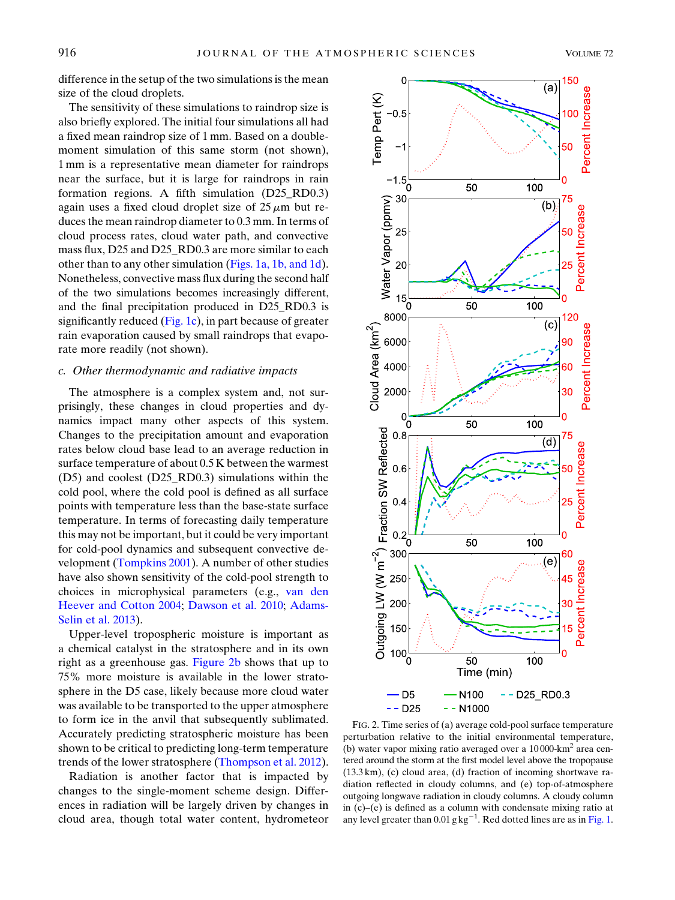difference in the setup of the two simulations is the mean size of the cloud droplets.

The sensitivity of these simulations to raindrop size is also briefly explored. The initial four simulations all had a fixed mean raindrop size of 1 mm. Based on a doublemoment simulation of this same storm (not shown), 1 mm is a representative mean diameter for raindrops near the surface, but it is large for raindrops in rain formation regions. A fifth simulation (D25\_RD0.3) again uses a fixed cloud droplet size of  $25 \mu m$  but reduces the mean raindrop diameter to 0.3 mm. In terms of cloud process rates, cloud water path, and convective mass flux, D25 and D25\_RD0.3 are more similar to each other than to any other simulation [\(Figs. 1a, 1b, and 1d](#page-5-0)). Nonetheless, convective mass flux during the second half of the two simulations becomes increasingly different, and the final precipitation produced in D25\_RD0.3 is significantly reduced ([Fig. 1c](#page-5-0)), in part because of greater rain evaporation caused by small raindrops that evaporate more readily (not shown).

# c. Other thermodynamic and radiative impacts

The atmosphere is a complex system and, not surprisingly, these changes in cloud properties and dynamics impact many other aspects of this system. Changes to the precipitation amount and evaporation rates below cloud base lead to an average reduction in surface temperature of about 0.5 K between the warmest (D5) and coolest (D25\_RD0.3) simulations within the cold pool, where the cold pool is defined as all surface points with temperature less than the base-state surface temperature. In terms of forecasting daily temperature this may not be important, but it could be very important for cold-pool dynamics and subsequent convective development [\(Tompkins 2001\)](#page-14-23). A number of other studies have also shown sensitivity of the cold-pool strength to choices in microphysical parameters (e.g., [van den](#page-14-0) [Heever and Cotton 2004](#page-14-0); [Dawson et al. 2010;](#page-12-4) [Adams-](#page-12-0)[Selin et al. 2013\)](#page-12-0).

Upper-level tropospheric moisture is important as a chemical catalyst in the stratosphere and in its own right as a greenhouse gas. [Figure 2b](#page-6-0) shows that up to 75% more moisture is available in the lower stratosphere in the D5 case, likely because more cloud water was available to be transported to the upper atmosphere to form ice in the anvil that subsequently sublimated. Accurately predicting stratospheric moisture has been shown to be critical to predicting long-term temperature trends of the lower stratosphere ([Thompson et al. 2012](#page-14-24)).

Radiation is another factor that is impacted by changes to the single-moment scheme design. Differences in radiation will be largely driven by changes in cloud area, though total water content, hydrometeor

<span id="page-6-0"></span>

FIG. 2. Time series of (a) average cold-pool surface temperature perturbation relative to the initial environmental temperature, (b) water vapor mixing ratio averaged over a  $10000 \text{ km}^2$  area centered around the storm at the first model level above the tropopause (13.3 km), (c) cloud area, (d) fraction of incoming shortwave radiation reflected in cloudy columns, and (e) top-of-atmosphere outgoing longwave radiation in cloudy columns. A cloudy column in (c)–(e) is defined as a column with condensate mixing ratio at any level greater than 0.01 g  $kg^{-1}$ . Red dotted lines are as in [Fig. 1](#page-5-0).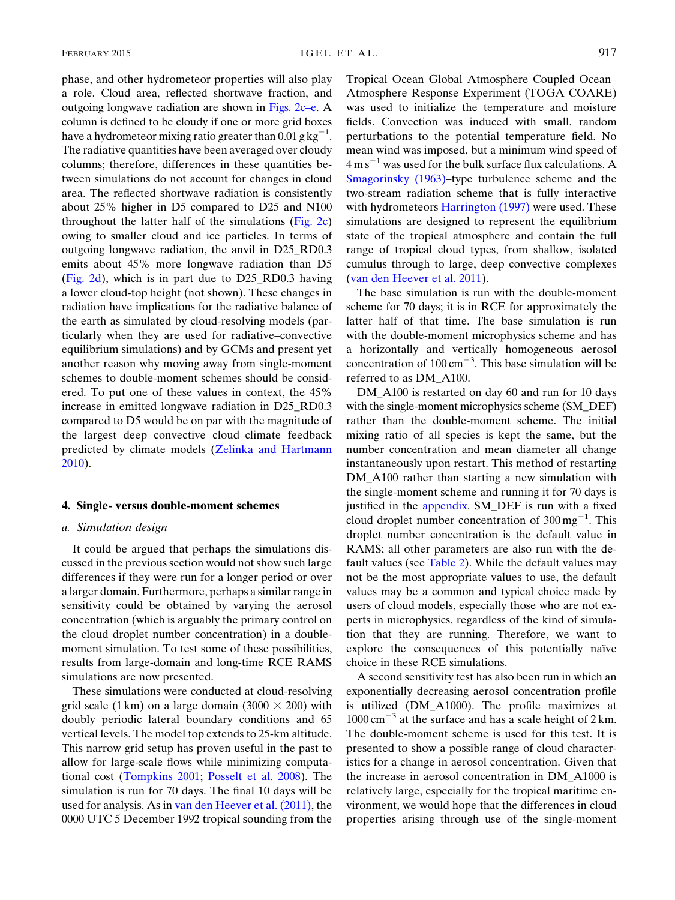phase, and other hydrometeor properties will also play a role. Cloud area, reflected shortwave fraction, and outgoing longwave radiation are shown in [Figs. 2c–e.](#page-6-0) A column is defined to be cloudy if one or more grid boxes have a hydrometeor mixing ratio greater than  $0.01$  g kg $^{-1}$ . The radiative quantities have been averaged over cloudy columns; therefore, differences in these quantities between simulations do not account for changes in cloud area. The reflected shortwave radiation is consistently about 25% higher in D5 compared to D25 and N100 throughout the latter half of the simulations ([Fig. 2c](#page-6-0)) owing to smaller cloud and ice particles. In terms of outgoing longwave radiation, the anvil in D25\_RD0.3 emits about 45% more longwave radiation than D5 [\(Fig. 2d](#page-6-0)), which is in part due to D25\_RD0.3 having a lower cloud-top height (not shown). These changes in radiation have implications for the radiative balance of the earth as simulated by cloud-resolving models (particularly when they are used for radiative–convective equilibrium simulations) and by GCMs and present yet another reason why moving away from single-moment schemes to double-moment schemes should be considered. To put one of these values in context, the 45% increase in emitted longwave radiation in D25\_RD0.3 compared to D5 would be on par with the magnitude of the largest deep convective cloud–climate feedback predicted by climate models ([Zelinka and Hartmann](#page-15-3) [2010\)](#page-15-3).

## <span id="page-7-0"></span>4. Single- versus double-moment schemes

#### a. Simulation design

It could be argued that perhaps the simulations discussed in the previous section would not show such large differences if they were run for a longer period or over a larger domain. Furthermore, perhaps a similar range in sensitivity could be obtained by varying the aerosol concentration (which is arguably the primary control on the cloud droplet number concentration) in a doublemoment simulation. To test some of these possibilities, results from large-domain and long-time RCE RAMS simulations are now presented.

These simulations were conducted at cloud-resolving grid scale (1 km) on a large domain (3000  $\times$  200) with doubly periodic lateral boundary conditions and 65 vertical levels. The model top extends to 25-km altitude. This narrow grid setup has proven useful in the past to allow for large-scale flows while minimizing computational cost ([Tompkins 2001](#page-14-23); [Posselt et al. 2008\)](#page-14-25). The simulation is run for 70 days. The final 10 days will be used for analysis. As in [van den Heever et al. \(2011\)](#page-14-26), the 0000 UTC 5 December 1992 tropical sounding from the Tropical Ocean Global Atmosphere Coupled Ocean– Atmosphere Response Experiment (TOGA COARE) was used to initialize the temperature and moisture fields. Convection was induced with small, random perturbations to the potential temperature field. No mean wind was imposed, but a minimum wind speed of  $4 \text{ m s}^{-1}$  was used for the bulk surface flux calculations. A [Smagorinsky \(1963\)–](#page-14-27)type turbulence scheme and the two-stream radiation scheme that is fully interactive with hydrometeors [Harrington \(1997\)](#page-13-26) were used. These simulations are designed to represent the equilibrium state of the tropical atmosphere and contain the full range of tropical cloud types, from shallow, isolated cumulus through to large, deep convective complexes ([van den Heever et al. 2011\)](#page-14-26).

The base simulation is run with the double-moment scheme for 70 days; it is in RCE for approximately the latter half of that time. The base simulation is run with the double-moment microphysics scheme and has a horizontally and vertically homogeneous aerosol concentration of  $100 \text{ cm}^{-3}$ . This base simulation will be referred to as DM\_A100.

DM\_A100 is restarted on day 60 and run for 10 days with the single-moment microphysics scheme (SM\_DEF) rather than the double-moment scheme. The initial mixing ratio of all species is kept the same, but the number concentration and mean diameter all change instantaneously upon restart. This method of restarting DM\_A100 rather than starting a new simulation with the single-moment scheme and running it for 70 days is justified in the [appendix.](#page-11-0) SM\_DEF is run with a fixed cloud droplet number concentration of  $300 \,\text{mg}^{-1}$ . This droplet number concentration is the default value in RAMS; all other parameters are also run with the default values (see [Table 2](#page-4-0)). While the default values may not be the most appropriate values to use, the default values may be a common and typical choice made by users of cloud models, especially those who are not experts in microphysics, regardless of the kind of simulation that they are running. Therefore, we want to explore the consequences of this potentially naïve choice in these RCE simulations.

A second sensitivity test has also been run in which an exponentially decreasing aerosol concentration profile is utilized (DM\_A1000). The profile maximizes at  $1000 \text{ cm}^{-3}$  at the surface and has a scale height of 2 km. The double-moment scheme is used for this test. It is presented to show a possible range of cloud characteristics for a change in aerosol concentration. Given that the increase in aerosol concentration in DM\_A1000 is relatively large, especially for the tropical maritime environment, we would hope that the differences in cloud properties arising through use of the single-moment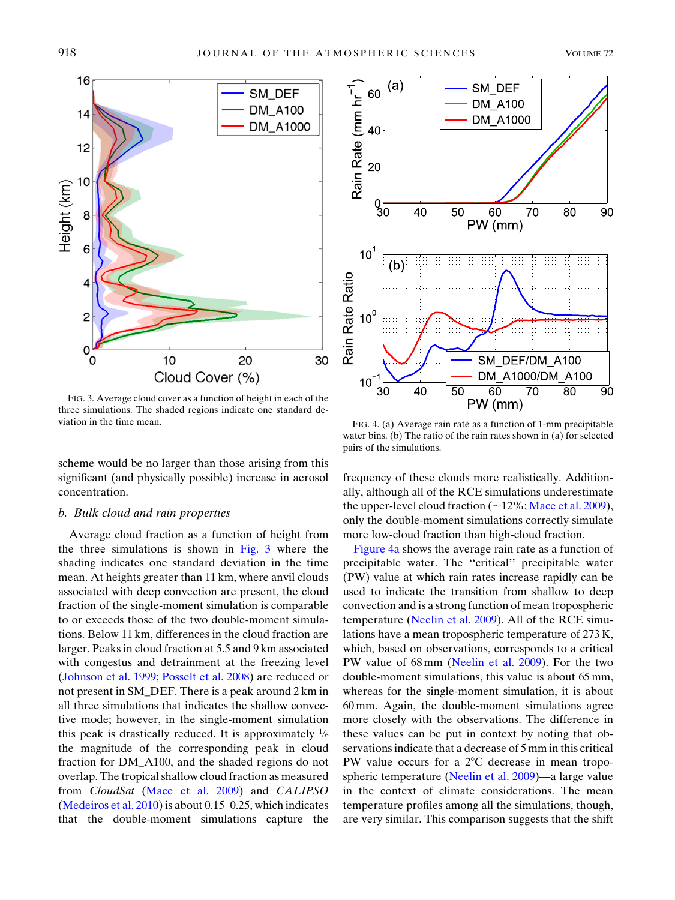<span id="page-8-0"></span>

FIG. 3. Average cloud cover as a function of height in each of the three simulations. The shaded regions indicate one standard deviation in the time mean. FIG. 4. (a) Average rain rate as a function of 1-mm precipitable

scheme would be no larger than those arising from this significant (and physically possible) increase in aerosol concentration.

# b. Bulk cloud and rain properties

Average cloud fraction as a function of height from the three simulations is shown in [Fig. 3](#page-8-0) where the shading indicates one standard deviation in the time mean. At heights greater than 11 km, where anvil clouds associated with deep convection are present, the cloud fraction of the single-moment simulation is comparable to or exceeds those of the two double-moment simulations. Below 11 km, differences in the cloud fraction are larger. Peaks in cloud fraction at 5.5 and 9 km associated with congestus and detrainment at the freezing level ([Johnson et al. 1999](#page-13-27); [Posselt et al. 2008](#page-14-25)) are reduced or not present in SM\_DEF. There is a peak around 2 km in all three simulations that indicates the shallow convective mode; however, in the single-moment simulation this peak is drastically reduced. It is approximately  $\frac{1}{6}$ the magnitude of the corresponding peak in cloud fraction for DM\_A100, and the shaded regions do not overlap. The tropical shallow cloud fraction as measured from CloudSat ([Mace et al. 2009\)](#page-13-28) and CALIPSO ([Medeiros et al. 2010](#page-13-29)) is about 0.15–0.25, which indicates that the double-moment simulations capture the

<span id="page-8-1"></span>

water bins. (b) The ratio of the rain rates shown in (a) for selected pairs of the simulations.

frequency of these clouds more realistically. Additionally, although all of the RCE simulations underestimate the upper-level cloud fraction  $(\sim12\%;$  [Mace et al. 2009](#page-13-28)), only the double-moment simulations correctly simulate more low-cloud fraction than high-cloud fraction.

[Figure 4a](#page-8-1) shows the average rain rate as a function of precipitable water. The ''critical'' precipitable water (PW) value at which rain rates increase rapidly can be used to indicate the transition from shallow to deep convection and is a strong function of mean tropospheric temperature [\(Neelin et al. 2009](#page-14-28)). All of the RCE simulations have a mean tropospheric temperature of 273 K, which, based on observations, corresponds to a critical PW value of 68 mm [\(Neelin et al. 2009\)](#page-14-28). For the two double-moment simulations, this value is about 65 mm, whereas for the single-moment simulation, it is about 60 mm. Again, the double-moment simulations agree more closely with the observations. The difference in these values can be put in context by noting that observations indicate that a decrease of 5 mm in this critical PW value occurs for a  $2^{\circ}$ C decrease in mean tropospheric temperature [\(Neelin et al. 2009](#page-14-28))—a large value in the context of climate considerations. The mean temperature profiles among all the simulations, though, are very similar. This comparison suggests that the shift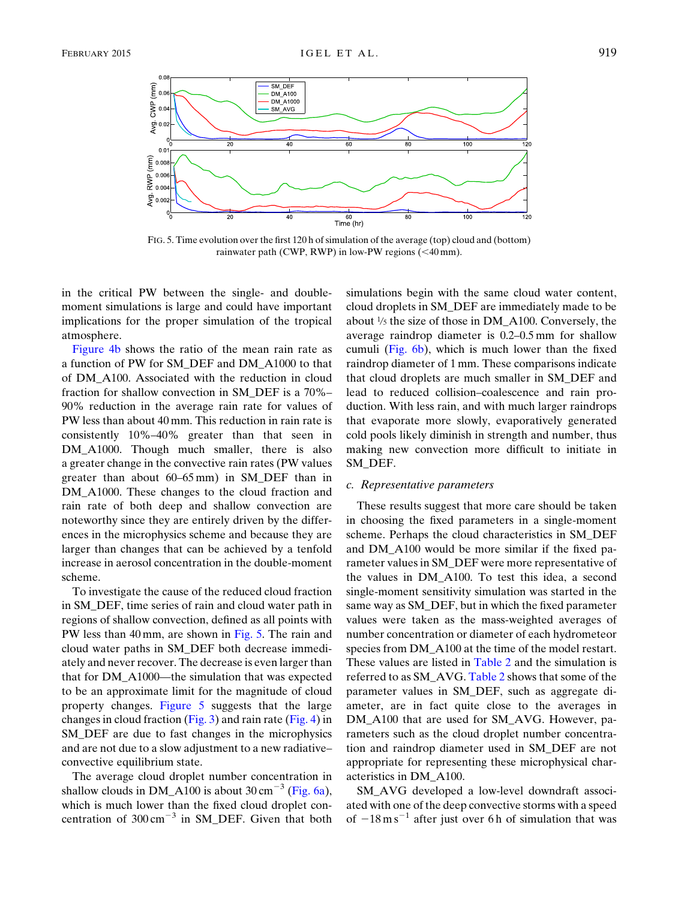<span id="page-9-0"></span>

FIG. 5. Time evolution over the first 120 h of simulation of the average (top) cloud and (bottom) rainwater path (CWP, RWP) in low-PW regions  $( $40 \text{ mm}$ ).$ 

in the critical PW between the single- and doublemoment simulations is large and could have important implications for the proper simulation of the tropical atmosphere.

[Figure 4b](#page-8-1) shows the ratio of the mean rain rate as a function of PW for SM\_DEF and DM\_A1000 to that of DM\_A100. Associated with the reduction in cloud fraction for shallow convection in SM\_DEF is a 70%– 90% reduction in the average rain rate for values of PW less than about 40 mm. This reduction in rain rate is consistently 10%–40% greater than that seen in DM\_A1000. Though much smaller, there is also a greater change in the convective rain rates (PW values greater than about 60–65 mm) in SM\_DEF than in DM\_A1000. These changes to the cloud fraction and rain rate of both deep and shallow convection are noteworthy since they are entirely driven by the differences in the microphysics scheme and because they are larger than changes that can be achieved by a tenfold increase in aerosol concentration in the double-moment scheme.

To investigate the cause of the reduced cloud fraction in SM\_DEF, time series of rain and cloud water path in regions of shallow convection, defined as all points with PW less than 40 mm, are shown in [Fig. 5](#page-9-0). The rain and cloud water paths in SM\_DEF both decrease immediately and never recover. The decrease is even larger than that for DM\_A1000—the simulation that was expected to be an approximate limit for the magnitude of cloud property changes. [Figure 5](#page-9-0) suggests that the large changes in cloud fraction [\(Fig. 3](#page-8-0)) and rain rate [\(Fig. 4](#page-8-1)) in SM\_DEF are due to fast changes in the microphysics and are not due to a slow adjustment to a new radiative– convective equilibrium state.

The average cloud droplet number concentration in shallow clouds in DM\_A100 is about  $30 \text{ cm}^{-3}$  [\(Fig. 6a\)](#page-10-0), which is much lower than the fixed cloud droplet concentration of  $300 \text{ cm}^{-3}$  in SM\_DEF. Given that both

simulations begin with the same cloud water content, cloud droplets in SM\_DEF are immediately made to be about <sup>1</sup> /<sup>5</sup> the size of those in DM\_A100. Conversely, the average raindrop diameter is 0.2–0.5 mm for shallow cumuli [\(Fig. 6b](#page-10-0)), which is much lower than the fixed raindrop diameter of 1 mm. These comparisons indicate that cloud droplets are much smaller in SM\_DEF and lead to reduced collision–coalescence and rain production. With less rain, and with much larger raindrops that evaporate more slowly, evaporatively generated cold pools likely diminish in strength and number, thus making new convection more difficult to initiate in SM\_DEF.

## c. Representative parameters

These results suggest that more care should be taken in choosing the fixed parameters in a single-moment scheme. Perhaps the cloud characteristics in SM\_DEF and DM\_A100 would be more similar if the fixed parameter values in SM\_DEF were more representative of the values in DM\_A100. To test this idea, a second single-moment sensitivity simulation was started in the same way as SM\_DEF, but in which the fixed parameter values were taken as the mass-weighted averages of number concentration or diameter of each hydrometeor species from DM\_A100 at the time of the model restart. These values are listed in [Table 2](#page-4-0) and the simulation is referred to as SM\_AVG. [Table 2](#page-4-0) shows that some of the parameter values in SM\_DEF, such as aggregate diameter, are in fact quite close to the averages in DM\_A100 that are used for SM\_AVG. However, parameters such as the cloud droplet number concentration and raindrop diameter used in SM\_DEF are not appropriate for representing these microphysical characteristics in DM\_A100.

SM\_AVG developed a low-level downdraft associated with one of the deep convective storms with a speed of  $-18 \text{ m s}^{-1}$  after just over 6 h of simulation that was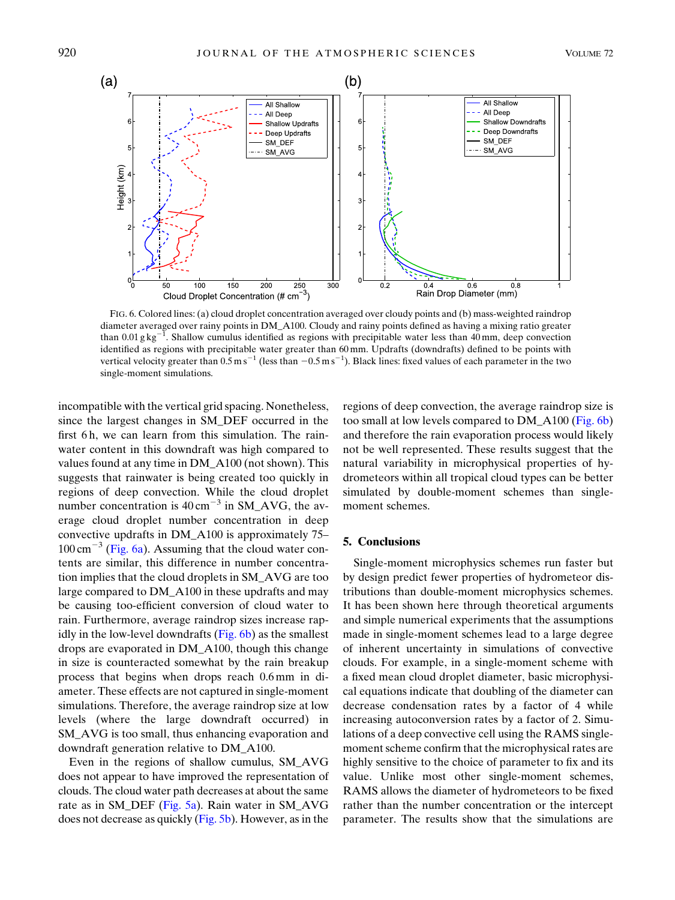<span id="page-10-0"></span>

FIG. 6. Colored lines: (a) cloud droplet concentration averaged over cloudy points and (b) mass-weighted raindrop diameter averaged over rainy points in DM\_A100. Cloudy and rainy points defined as having a mixing ratio greater than 0.01 g kg<sup>-1</sup>. Shallow cumulus identified as regions with precipitable water less than 40 mm, deep convection identified as regions with precipitable water greater than 60 mm. Updrafts (downdrafts) defined to be points with vertical velocity greater than  $0.5$  m s<sup>-1</sup> (less than  $-0.5$  m s<sup>-1</sup>). Black lines: fixed values of each parameter in the two single-moment simulations.

incompatible with the vertical grid spacing. Nonetheless, since the largest changes in SM\_DEF occurred in the first 6h, we can learn from this simulation. The rainwater content in this downdraft was high compared to values found at any time in DM\_A100 (not shown). This suggests that rainwater is being created too quickly in regions of deep convection. While the cloud droplet number concentration is  $40 \text{ cm}^{-3}$  in SM\_AVG, the average cloud droplet number concentration in deep convective updrafts in DM\_A100 is approximately 75–  $100 \text{ cm}^{-3}$  ([Fig. 6a](#page-10-0)). Assuming that the cloud water contents are similar, this difference in number concentration implies that the cloud droplets in SM\_AVG are too large compared to DM\_A100 in these updrafts and may be causing too-efficient conversion of cloud water to rain. Furthermore, average raindrop sizes increase rapidly in the low-level downdrafts [\(Fig. 6b](#page-10-0)) as the smallest drops are evaporated in DM\_A100, though this change in size is counteracted somewhat by the rain breakup process that begins when drops reach 0.6 mm in diameter. These effects are not captured in single-moment simulations. Therefore, the average raindrop size at low levels (where the large downdraft occurred) in SM\_AVG is too small, thus enhancing evaporation and downdraft generation relative to DM\_A100.

Even in the regions of shallow cumulus, SM\_AVG does not appear to have improved the representation of clouds. The cloud water path decreases at about the same rate as in SM\_DEF [\(Fig. 5a\)](#page-9-0). Rain water in SM\_AVG does not decrease as quickly [\(Fig. 5b\)](#page-9-0). However, as in the

regions of deep convection, the average raindrop size is too small at low levels compared to DM\_A100 ([Fig. 6b\)](#page-10-0) and therefore the rain evaporation process would likely not be well represented. These results suggest that the natural variability in microphysical properties of hydrometeors within all tropical cloud types can be better simulated by double-moment schemes than singlemoment schemes.

# 5. Conclusions

Single-moment microphysics schemes run faster but by design predict fewer properties of hydrometeor distributions than double-moment microphysics schemes. It has been shown here through theoretical arguments and simple numerical experiments that the assumptions made in single-moment schemes lead to a large degree of inherent uncertainty in simulations of convective clouds. For example, in a single-moment scheme with a fixed mean cloud droplet diameter, basic microphysical equations indicate that doubling of the diameter can decrease condensation rates by a factor of 4 while increasing autoconversion rates by a factor of 2. Simulations of a deep convective cell using the RAMS singlemoment scheme confirm that the microphysical rates are highly sensitive to the choice of parameter to fix and its value. Unlike most other single-moment schemes, RAMS allows the diameter of hydrometeors to be fixed rather than the number concentration or the intercept parameter. The results show that the simulations are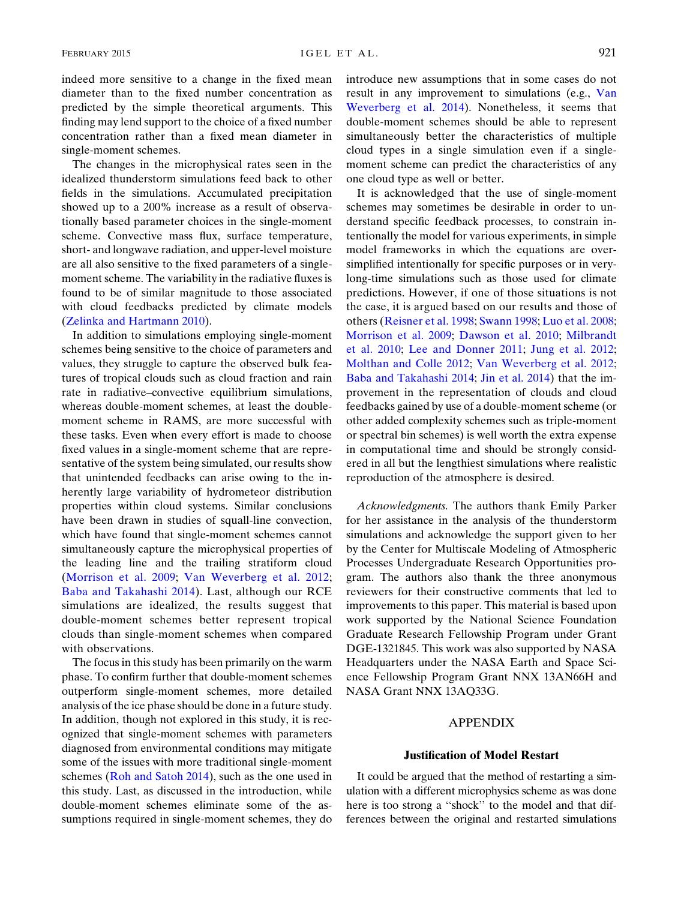indeed more sensitive to a change in the fixed mean diameter than to the fixed number concentration as predicted by the simple theoretical arguments. This finding may lend support to the choice of a fixed number concentration rather than a fixed mean diameter in single-moment schemes.

The changes in the microphysical rates seen in the idealized thunderstorm simulations feed back to other fields in the simulations. Accumulated precipitation showed up to a 200% increase as a result of observationally based parameter choices in the single-moment scheme. Convective mass flux, surface temperature, short- and longwave radiation, and upper-level moisture are all also sensitive to the fixed parameters of a singlemoment scheme. The variability in the radiative fluxes is found to be of similar magnitude to those associated with cloud feedbacks predicted by climate models [\(Zelinka and Hartmann 2010](#page-15-3)).

In addition to simulations employing single-moment schemes being sensitive to the choice of parameters and values, they struggle to capture the observed bulk features of tropical clouds such as cloud fraction and rain rate in radiative–convective equilibrium simulations, whereas double-moment schemes, at least the doublemoment scheme in RAMS, are more successful with these tasks. Even when every effort is made to choose fixed values in a single-moment scheme that are representative of the system being simulated, our results show that unintended feedbacks can arise owing to the inherently large variability of hydrometeor distribution properties within cloud systems. Similar conclusions have been drawn in studies of squall-line convection, which have found that single-moment schemes cannot simultaneously capture the microphysical properties of the leading line and the trailing stratiform cloud ([Morrison et al. 2009](#page-13-13); [Van Weverberg et al. 2012;](#page-14-10) [Baba and Takahashi 2014\)](#page-12-3). Last, although our RCE simulations are idealized, the results suggest that double-moment schemes better represent tropical clouds than single-moment schemes when compared with observations.

The focus in this study has been primarily on the warm phase. To confirm further that double-moment schemes outperform single-moment schemes, more detailed analysis of the ice phase should be done in a future study. In addition, though not explored in this study, it is recognized that single-moment schemes with parameters diagnosed from environmental conditions may mitigate some of the issues with more traditional single-moment schemes [\(Roh and Satoh 2014\)](#page-14-29), such as the one used in this study. Last, as discussed in the introduction, while double-moment schemes eliminate some of the assumptions required in single-moment schemes, they do introduce new assumptions that in some cases do not result in any improvement to simulations (e.g., [Van](#page-14-9) [Weverberg et al. 2014](#page-14-9)). Nonetheless, it seems that double-moment schemes should be able to represent simultaneously better the characteristics of multiple cloud types in a single simulation even if a singlemoment scheme can predict the characteristics of any one cloud type as well or better.

It is acknowledged that the use of single-moment schemes may sometimes be desirable in order to understand specific feedback processes, to constrain intentionally the model for various experiments, in simple model frameworks in which the equations are oversimplified intentionally for specific purposes or in verylong-time simulations such as those used for climate predictions. However, if one of those situations is not the case, it is argued based on our results and those of others ([Reisner et al. 1998](#page-14-12); [Swann 1998](#page-14-11); [Luo et al. 2008;](#page-13-17) [Morrison et al. 2009](#page-13-13); [Dawson et al. 2010](#page-12-4); [Milbrandt](#page-13-18) [et al. 2010;](#page-13-18) [Lee and Donner 2011](#page-13-15); [Jung et al. 2012;](#page-13-14) [Molthan and Colle 2012](#page-13-19); [Van Weverberg et al. 2012;](#page-14-10) [Baba and Takahashi 2014](#page-12-3); [Jin et al. 2014\)](#page-13-16) that the improvement in the representation of clouds and cloud feedbacks gained by use of a double-moment scheme (or other added complexity schemes such as triple-moment or spectral bin schemes) is well worth the extra expense in computational time and should be strongly considered in all but the lengthiest simulations where realistic reproduction of the atmosphere is desired.

Acknowledgments. The authors thank Emily Parker for her assistance in the analysis of the thunderstorm simulations and acknowledge the support given to her by the Center for Multiscale Modeling of Atmospheric Processes Undergraduate Research Opportunities program. The authors also thank the three anonymous reviewers for their constructive comments that led to improvements to this paper. This material is based upon work supported by the National Science Foundation Graduate Research Fellowship Program under Grant DGE-1321845. This work was also supported by NASA Headquarters under the NASA Earth and Space Science Fellowship Program Grant NNX 13AN66H and NASA Grant NNX 13AQ33G.

## APPENDIX

# Justification of Model Restart

<span id="page-11-0"></span>It could be argued that the method of restarting a simulation with a different microphysics scheme as was done here is too strong a "shock" to the model and that differences between the original and restarted simulations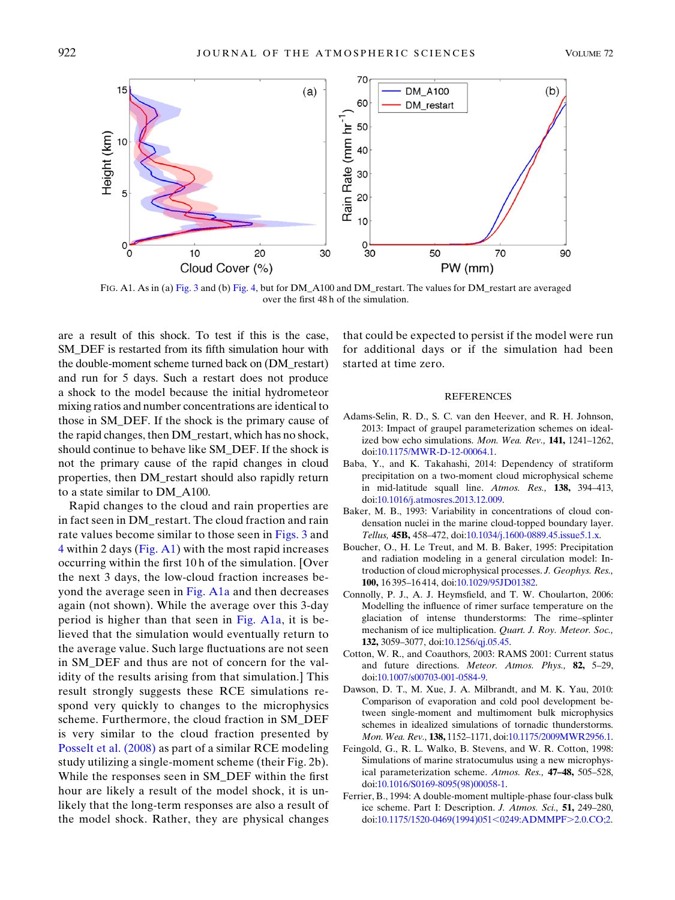<span id="page-12-9"></span>

FIG. A1. As in (a) [Fig. 3](#page-8-0) and (b) [Fig. 4,](#page-8-1) but for DM\_A100 and DM\_restart. The values for DM\_restart are averaged over the first 48 h of the simulation.

are a result of this shock. To test if this is the case, SM\_DEF is restarted from its fifth simulation hour with the double-moment scheme turned back on (DM\_restart) and run for 5 days. Such a restart does not produce a shock to the model because the initial hydrometeor mixing ratios and number concentrations are identical to those in SM\_DEF. If the shock is the primary cause of the rapid changes, then DM\_restart, which has no shock, should continue to behave like SM\_DEF. If the shock is not the primary cause of the rapid changes in cloud properties, then DM\_restart should also rapidly return to a state similar to DM\_A100.

Rapid changes to the cloud and rain properties are in fact seen in DM\_restart. The cloud fraction and rain rate values become similar to those seen in [Figs. 3](#page-8-0) and  $4$  within 2 days ([Fig. A1](#page-12-9)) with the most rapid increases occurring within the first 10 h of the simulation. [Over the next 3 days, the low-cloud fraction increases be-yond the average seen in [Fig. A1a](#page-12-9) and then decreases again (not shown). While the average over this 3-day period is higher than that seen in [Fig. A1a,](#page-12-9) it is believed that the simulation would eventually return to the average value. Such large fluctuations are not seen in SM\_DEF and thus are not of concern for the validity of the results arising from that simulation.] This result strongly suggests these RCE simulations respond very quickly to changes to the microphysics scheme. Furthermore, the cloud fraction in SM\_DEF is very similar to the cloud fraction presented by [Posselt et al. \(2008\)](#page-14-25) as part of a similar RCE modeling study utilizing a single-moment scheme (their Fig. 2b). While the responses seen in SM\_DEF within the first hour are likely a result of the model shock, it is unlikely that the long-term responses are also a result of the model shock. Rather, they are physical changes

that could be expected to persist if the model were run for additional days or if the simulation had been started at time zero.

#### REFERENCES

- <span id="page-12-0"></span>Adams-Selin, R. D., S. C. van den Heever, and R. H. Johnson, 2013: Impact of graupel parameterization schemes on idealized bow echo simulations. Mon. Wea. Rev., 141, 1241–1262, doi[:10.1175/MWR-D-12-00064.1](http://dx.doi.org/10.1175/MWR-D-12-00064.1).
- <span id="page-12-3"></span>Baba, Y., and K. Takahashi, 2014: Dependency of stratiform precipitation on a two-moment cloud microphysical scheme in mid-latitude squall line. Atmos. Res., 138, 394–413, doi[:10.1016/j.atmosres.2013.12.009.](http://dx.doi.org/10.1016/j.atmosres.2013.12.009)
- <span id="page-12-6"></span>Baker, M. B., 1993: Variability in concentrations of cloud condensation nuclei in the marine cloud-topped boundary layer. Tellus, 45B, 458–472, doi:[10.1034/j.1600-0889.45.issue5.1.x](http://dx.doi.org/10.1034/j.1600-0889.45.issue5.1.x).
- <span id="page-12-7"></span>Boucher, O., H. Le Treut, and M. B. Baker, 1995: Precipitation and radiation modeling in a general circulation model: Introduction of cloud microphysical processes. J. Geophys. Res., 100, 16 395–16 414, doi:[10.1029/95JD01382.](http://dx.doi.org/10.1029/95JD01382)
- <span id="page-12-2"></span>Connolly, P. J., A. J. Heymsfield, and T. W. Choularton, 2006: Modelling the influence of rimer surface temperature on the glaciation of intense thunderstorms: The rime–splinter mechanism of ice multiplication. Quart. J. Roy. Meteor. Soc., 132, 3059–3077, doi[:10.1256/qj.05.45.](http://dx.doi.org/10.1256/qj.05.45)
- <span id="page-12-8"></span>Cotton, W. R., and Coauthors, 2003: RAMS 2001: Current status and future directions. Meteor. Atmos. Phys., 82, 5–29, doi[:10.1007/s00703-001-0584-9.](http://dx.doi.org/10.1007/s00703-001-0584-9)
- <span id="page-12-4"></span>Dawson, D. T., M. Xue, J. A. Milbrandt, and M. K. Yau, 2010: Comparison of evaporation and cold pool development between single-moment and multimoment bulk microphysics schemes in idealized simulations of tornadic thunderstorms. Mon. Wea. Rev., 138, 1152–1171, doi[:10.1175/2009MWR2956.1](http://dx.doi.org/10.1175/2009MWR2956.1).
- <span id="page-12-5"></span>Feingold, G., R. L. Walko, B. Stevens, and W. R. Cotton, 1998: Simulations of marine stratocumulus using a new microphysical parameterization scheme. Atmos. Res., 47–48, 505–528, doi[:10.1016/S0169-8095\(98\)00058-1](http://dx.doi.org/10.1016/S0169-8095(98)00058-1).
- <span id="page-12-1"></span>Ferrier, B., 1994: A double-moment multiple-phase four-class bulk ice scheme. Part I: Description. J. Atmos. Sci., 51, 249–280, doi[:10.1175/1520-0469\(1994\)051](http://dx.doi.org/10.1175/1520-0469(1994)051<0249:ADMMPF>2.0.CO;2)<0249:ADMMPF>2.0.CO;2.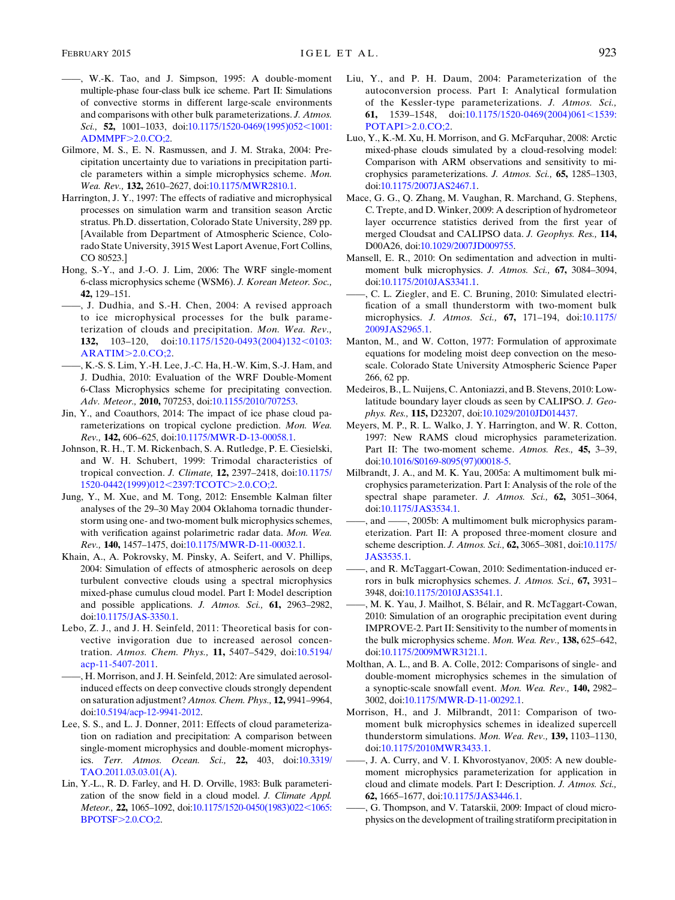- <span id="page-13-0"></span>——, W.-K. Tao, and J. Simpson, 1995: A double-moment multiple-phase four-class bulk ice scheme. Part II: Simulations of convective storms in different large-scale environments and comparisons with other bulk parameterizations. J. Atmos. Sci., 52, 1001-1033, doi[:10.1175/1520-0469\(1995\)052](http://dx.doi.org/10.1175/1520-0469(1995)052<1001:ADMMPF>2.0.CO;2)<1001: [ADMMPF](http://dx.doi.org/10.1175/1520-0469(1995)052<1001:ADMMPF>2.0.CO;2)>2.0.CO;2.
- <span id="page-13-1"></span>Gilmore, M. S., E. N. Rasmussen, and J. M. Straka, 2004: Precipitation uncertainty due to variations in precipitation particle parameters within a simple microphysics scheme. Mon. Wea. Rev., 132, 2610-2627, doi:[10.1175/MWR2810.1](http://dx.doi.org/10.1175/MWR2810.1).
- <span id="page-13-26"></span>Harrington, J. Y., 1997: The effects of radiative and microphysical processes on simulation warm and transition season Arctic stratus. Ph.D. dissertation, Colorado State University, 289 pp. [Available from Department of Atmospheric Science, Colorado State University, 3915 West Laport Avenue, Fort Collins, CO 80523.]
- <span id="page-13-3"></span>Hong, S.-Y., and J.-O. J. Lim, 2006: The WRF single-moment 6-class microphysics scheme (WSM6). J. Korean Meteor. Soc., 42, 129–151.
- <span id="page-13-4"></span>——, J. Dudhia, and S.-H. Chen, 2004: A revised approach to ice microphysical processes for the bulk parameterization of clouds and precipitation. Mon. Wea. Rev., 132, 103-120, doi[:10.1175/1520-0493\(2004\)132](http://dx.doi.org/10.1175/1520-0493(2004)132<0103:ARATIM>2.0.CO;2)<0103:  $ARATIM > 2.0$  $ARATIM > 2.0$ . $CO;2$ .
- <span id="page-13-9"></span>——, K.-S. S. Lim, Y.-H. Lee, J.-C. Ha, H.-W. Kim, S.-J. Ham, and J. Dudhia, 2010: Evaluation of the WRF Double-Moment 6-Class Microphysics scheme for precipitating convection. Adv. Meteor., 2010, 707253, doi[:10.1155/2010/707253](http://dx.doi.org/10.1155/2010/707253).
- <span id="page-13-16"></span>Jin, Y., and Coauthors, 2014: The impact of ice phase cloud parameterizations on tropical cyclone prediction. Mon. Wea. Rev., 142, 606-625, doi[:10.1175/MWR-D-13-00058.1](http://dx.doi.org/10.1175/MWR-D-13-00058.1).
- <span id="page-13-27"></span>Johnson, R. H., T. M. Rickenbach, S. A. Rutledge, P. E. Ciesielski, and W. H. Schubert, 1999: Trimodal characteristics of tropical convection. J. Climate, 12, 2397–2418, doi:[10.1175/](http://dx.doi.org/10.1175/1520-0442(1999)012<2397:TCOTC>2.0.CO;2) [1520-0442\(1999\)012](http://dx.doi.org/10.1175/1520-0442(1999)012<2397:TCOTC>2.0.CO;2)<2397:TCOTC>2.0.CO;2.
- <span id="page-13-14"></span>Jung, Y., M. Xue, and M. Tong, 2012: Ensemble Kalman filter analyses of the 29–30 May 2004 Oklahoma tornadic thunderstorm using one- and two-moment bulk microphysics schemes, with verification against polarimetric radar data. Mon. Wea. Rev., 140, 1457–1475, doi[:10.1175/MWR-D-11-00032.1](http://dx.doi.org/10.1175/MWR-D-11-00032.1).
- <span id="page-13-21"></span>Khain, A., A. Pokrovsky, M. Pinsky, A. Seifert, and V. Phillips, 2004: Simulation of effects of atmospheric aerosols on deep turbulent convective clouds using a spectral microphysics mixed-phase cumulus cloud model. Part I: Model description and possible applications. J. Atmos. Sci., 61, 2963–2982, doi:[10.1175/JAS-3350.1.](http://dx.doi.org/10.1175/JAS-3350.1)
- <span id="page-13-22"></span>Lebo, Z. J., and J. H. Seinfeld, 2011: Theoretical basis for convective invigoration due to increased aerosol concentration. Atmos. Chem. Phys., 11, 5407–5429, doi:[10.5194/](http://dx.doi.org/10.5194/acp-11-5407-2011) [acp-11-5407-2011.](http://dx.doi.org/10.5194/acp-11-5407-2011)
- <span id="page-13-23"></span>——, H. Morrison, and J. H. Seinfeld, 2012: Are simulated aerosolinduced effects on deep convective clouds strongly dependent on saturation adjustment? Atmos. Chem. Phys., 12, 9941–9964, doi:[10.5194/acp-12-9941-2012](http://dx.doi.org/10.5194/acp-12-9941-2012).
- <span id="page-13-15"></span>Lee, S. S., and L. J. Donner, 2011: Effects of cloud parameterization on radiation and precipitation: A comparison between single-moment microphysics and double-moment microphysics. Terr. Atmos. Ocean. Sci., 22, 403, doi:[10.3319/](http://dx.doi.org/10.3319/TAO.2011.03.03.01(A)) [TAO.2011.03.03.01\(A\).](http://dx.doi.org/10.3319/TAO.2011.03.03.01(A))
- <span id="page-13-2"></span>Lin, Y.-L., R. D. Farley, and H. D. Orville, 1983: Bulk parameterization of the snow field in a cloud model. J. Climate Appl. Meteor., 22, 1065-1092, doi:[10.1175/1520-0450\(1983\)022](http://dx.doi.org/10.1175/1520-0450(1983)022<1065:BPOTSF>2.0.CO;2)<1065: [BPOTSF](http://dx.doi.org/10.1175/1520-0450(1983)022<1065:BPOTSF>2.0.CO;2)>2.0.CO;2.
- <span id="page-13-25"></span>Liu, Y., and P. H. Daum, 2004: Parameterization of the autoconversion process. Part I: Analytical formulation of the Kessler-type parameterizations. J. Atmos. Sci., 61, 1539-1548, doi:[10.1175/1520-0469\(2004\)061](http://dx.doi.org/10.1175/1520-0469(2004)061<1539:POTAPI>2.0.CO;2)<1539: [POTAPI](http://dx.doi.org/10.1175/1520-0469(2004)061<1539:POTAPI>2.0.CO;2)>2.0.CO;2.
- <span id="page-13-17"></span>Luo, Y., K.-M. Xu, H. Morrison, and G. McFarquhar, 2008: Arctic mixed-phase clouds simulated by a cloud-resolving model: Comparison with ARM observations and sensitivity to microphysics parameterizations. J. Atmos. Sci., 65, 1285–1303, doi:[10.1175/2007JAS2467.1](http://dx.doi.org/10.1175/2007JAS2467.1).
- <span id="page-13-28"></span>Mace, G. G., Q. Zhang, M. Vaughan, R. Marchand, G. Stephens, C. Trepte, and D. Winker, 2009: A description of hydrometeor layer occurrence statistics derived from the first year of merged Cloudsat and CALIPSO data. J. Geophys. Res., 114, D00A26, doi[:10.1029/2007JD009755](http://dx.doi.org/10.1029/2007JD009755).
- <span id="page-13-11"></span>Mansell, E. R., 2010: On sedimentation and advection in multimoment bulk microphysics. J. Atmos. Sci., 67, 3084-3094, doi:[10.1175/2010JAS3341.1](http://dx.doi.org/10.1175/2010JAS3341.1).
- <span id="page-13-8"></span>——, C. L. Ziegler, and E. C. Bruning, 2010: Simulated electrification of a small thunderstorm with two-moment bulk microphysics. J. Atmos. Sci., 67, 171–194, doi[:10.1175/](http://dx.doi.org/10.1175/2009JAS2965.1) [2009JAS2965.1.](http://dx.doi.org/10.1175/2009JAS2965.1)
- <span id="page-13-24"></span>Manton, M., and W. Cotton, 1977: Formulation of approximate equations for modeling moist deep convection on the mesoscale. Colorado State University Atmospheric Science Paper 266, 62 pp.
- <span id="page-13-29"></span>Medeiros, B., L. Nuijens, C. Antoniazzi, and B. Stevens, 2010: Lowlatitude boundary layer clouds as seen by CALIPSO. J. Geophys. Res., 115, D23207, doi[:10.1029/2010JD014437](http://dx.doi.org/10.1029/2010JD014437).
- <span id="page-13-5"></span>Meyers, M. P., R. L. Walko, J. Y. Harrington, and W. R. Cotton, 1997: New RAMS cloud microphysics parameterization. Part II: The two-moment scheme. Atmos. Res., 45, 3-39, doi:[10.1016/S0169-8095\(97\)00018-5](http://dx.doi.org/10.1016/S0169-8095(97)00018-5).
- <span id="page-13-6"></span>Milbrandt, J. A., and M. K. Yau, 2005a: A multimoment bulk microphysics parameterization. Part I: Analysis of the role of the spectral shape parameter. J. Atmos. Sci., 62, 3051-3064, doi:[10.1175/JAS3534.1](http://dx.doi.org/10.1175/JAS3534.1).
- <span id="page-13-20"></span>——, and ——, 2005b: A multimoment bulk microphysics parameterization. Part II: A proposed three-moment closure and scheme description. J. Atmos. Sci., 62, 3065–3081, doi[:10.1175/](http://dx.doi.org/10.1175/JAS3535.1) [JAS3535.1](http://dx.doi.org/10.1175/JAS3535.1).
- <span id="page-13-10"></span>——, and R. McTaggart-Cowan, 2010: Sedimentation-induced errors in bulk microphysics schemes. J. Atmos. Sci., 67, 3931– 3948, doi:[10.1175/2010JAS3541.1](http://dx.doi.org/10.1175/2010JAS3541.1).
- <span id="page-13-18"></span>——, M. K. Yau, J. Mailhot, S. Bélair, and R. McTaggart-Cowan, 2010: Simulation of an orographic precipitation event during IMPROVE-2. Part II: Sensitivity to the number of moments in the bulk microphysics scheme. Mon. Wea. Rev., 138, 625–642, doi:[10.1175/2009MWR3121.1](http://dx.doi.org/10.1175/2009MWR3121.1).
- <span id="page-13-19"></span>Molthan, A. L., and B. A. Colle, 2012: Comparisons of single- and double-moment microphysics schemes in the simulation of a synoptic-scale snowfall event. Mon. Wea. Rev., 140, 2982– 3002, doi:[10.1175/MWR-D-11-00292.1](http://dx.doi.org/10.1175/MWR-D-11-00292.1).
- <span id="page-13-12"></span>Morrison, H., and J. Milbrandt, 2011: Comparison of twomoment bulk microphysics schemes in idealized supercell thunderstorm simulations. Mon. Wea. Rev., 139, 1103–1130, doi[:10.1175/2010MWR3433.1](http://dx.doi.org/10.1175/2010MWR3433.1).
- <span id="page-13-7"></span>——, J. A. Curry, and V. I. Khvorostyanov, 2005: A new doublemoment microphysics parameterization for application in cloud and climate models. Part I: Description. J. Atmos. Sci., 62, 1665–1677, doi[:10.1175/JAS3446.1](http://dx.doi.org/10.1175/JAS3446.1).
- <span id="page-13-13"></span>——, G. Thompson, and V. Tatarskii, 2009: Impact of cloud microphysics on the development of trailing stratiform precipitation in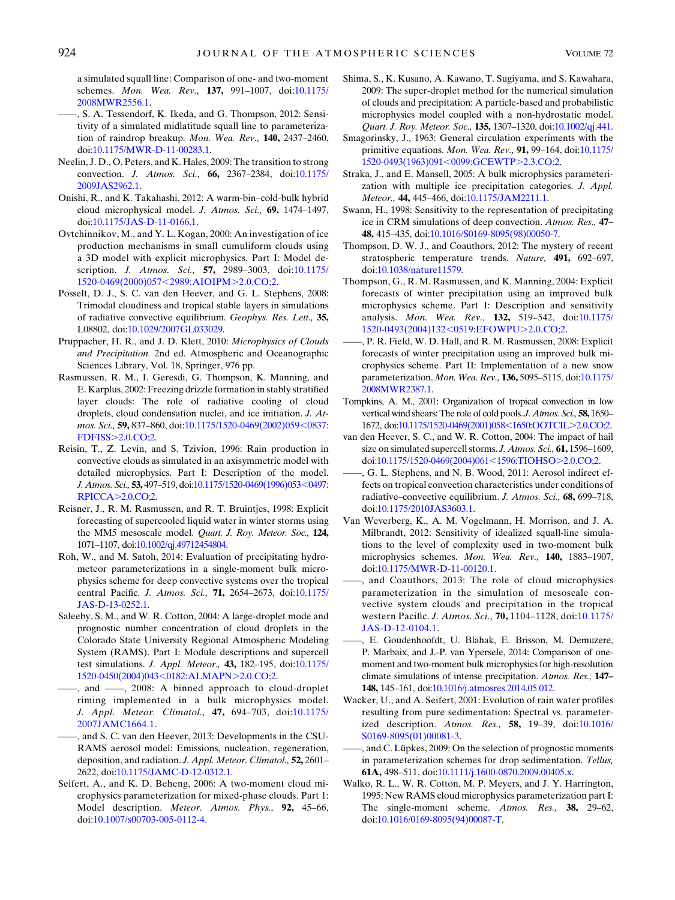a simulated squall line: Comparison of one- and two-moment schemes. Mon. Wea. Rev., 137, 991-1007, doi[:10.1175/](http://dx.doi.org/10.1175/2008MWR2556.1) [2008MWR2556.1](http://dx.doi.org/10.1175/2008MWR2556.1).

- <span id="page-14-8"></span>——, S. A. Tessendorf, K. Ikeda, and G. Thompson, 2012: Sensitivity of a simulated midlatitude squall line to parameterization of raindrop breakup. Mon. Wea. Rev., 140, 2437–2460, doi:[10.1175/MWR-D-11-00283.1.](http://dx.doi.org/10.1175/MWR-D-11-00283.1)
- <span id="page-14-28"></span>Neelin, J. D., O. Peters, and K. Hales, 2009: The transition to strong convection. J. Atmos. Sci., 66, 2367–2384, doi[:10.1175/](http://dx.doi.org/10.1175/2009JAS2962.1) [2009JAS2962.1](http://dx.doi.org/10.1175/2009JAS2962.1).
- <span id="page-14-17"></span>Onishi, R., and K. Takahashi, 2012: A warm-bin–cold-bulk hybrid cloud microphysical model. J. Atmos. Sci., 69, 1474–1497, doi:[10.1175/JAS-D-11-0166.1.](http://dx.doi.org/10.1175/JAS-D-11-0166.1)
- <span id="page-14-15"></span>Ovtchinnikov, M., and Y. L. Kogan, 2000: An investigation of ice production mechanisms in small cumuliform clouds using a 3D model with explicit microphysics. Part I: Model description. *J. Atmos. Sci.*, **57,** 2989-3003, doi:[10.1175/](http://dx.doi.org/10.1175/1520-0469(2000)057<2989:AIOIPM>2.0.CO;2) [1520-0469\(2000\)057](http://dx.doi.org/10.1175/1520-0469(2000)057<2989:AIOIPM>2.0.CO;2)<2989:AIOIPM>2.0.CO;2.
- <span id="page-14-25"></span>Posselt, D. J., S. C. van den Heever, and G. L. Stephens, 2008: Trimodal cloudiness and tropical stable layers in simulations of radiative convective equilibrium. Geophys. Res. Lett., 35, L08802, doi[:10.1029/2007GL033029.](http://dx.doi.org/10.1029/2007GL033029)
- <span id="page-14-22"></span>Pruppacher, H. R., and J. D. Klett, 2010: Microphysics of Clouds and Precipitation. 2nd ed. Atmospheric and Oceanographic Sciences Library, Vol. 18, Springer, 976 pp.
- <span id="page-14-16"></span>Rasmussen, R. M., I. Geresdi, G. Thompson, K. Manning, and E. Karplus, 2002: Freezing drizzle formation in stably stratified layer clouds: The role of radiative cooling of cloud droplets, cloud condensation nuclei, and ice initiation. J. At-mos. Sci., 59, 837-860, doi[:10.1175/1520-0469\(2002\)059](http://dx.doi.org/10.1175/1520-0469(2002)059<0837:FDFISS>2.0.CO;2)<0837: FDFISS>[2.0.CO;2.](http://dx.doi.org/10.1175/1520-0469(2002)059<0837:FDFISS>2.0.CO;2)
- <span id="page-14-14"></span>Reisin, T., Z. Levin, and S. Tzivion, 1996: Rain production in convective clouds as simulated in an axisymmetric model with detailed microphysics. Part I: Description of the model. J. Atmos. Sci., 53, 497-519, doi:[10.1175/1520-0469\(1996\)053](http://dx.doi.org/10.1175/1520-0469(1996)053<0497:RPICCA>2.0.CO;2)<0497: [RPICCA](http://dx.doi.org/10.1175/1520-0469(1996)053<0497:RPICCA>2.0.CO;2)>2.0.CO;2.
- <span id="page-14-12"></span>Reisner, J., R. M. Rasmussen, and R. T. Bruintjes, 1998: Explicit forecasting of supercooled liquid water in winter storms using the MM5 mesoscale model. Quart. J. Roy. Meteor. Soc., 124, 1071–1107, doi:[10.1002/qj.49712454804.](http://dx.doi.org/10.1002/qj.49712454804)
- <span id="page-14-29"></span>Roh, W., and M. Satoh, 2014: Evaluation of precipitating hydrometeor parameterizations in a single-moment bulk microphysics scheme for deep convective systems over the tropical central Pacific. J. Atmos. Sci., 71, 2654–2673, doi[:10.1175/](http://dx.doi.org/10.1175/JAS-D-13-0252.1) [JAS-D-13-0252.1.](http://dx.doi.org/10.1175/JAS-D-13-0252.1)
- <span id="page-14-18"></span>Saleeby, S. M., and W. R. Cotton, 2004: A large-droplet mode and prognostic number concentration of cloud droplets in the Colorado State University Regional Atmospheric Modeling System (RAMS). Part I: Module descriptions and supercell test simulations. J. Appl. Meteor., 43, 182–195, doi[:10.1175/](http://dx.doi.org/10.1175/1520-0450(2004)043<0182:ALMAPN>2.0.CO;2) [1520-0450\(2004\)043](http://dx.doi.org/10.1175/1520-0450(2004)043<0182:ALMAPN>2.0.CO;2)<0182:ALMAPN>2.0.CO;2.
- <span id="page-14-19"></span>-, and -, 2008: A binned approach to cloud-droplet riming implemented in a bulk microphysics model. J. Appl. Meteor. Climatol., 47, 694-703, doi:[10.1175/](http://dx.doi.org/10.1175/2007JAMC1664.1) [2007JAMC1664.1.](http://dx.doi.org/10.1175/2007JAMC1664.1)
- <span id="page-14-20"></span>——, and S. C. van den Heever, 2013: Developments in the CSU-RAMS aerosol model: Emissions, nucleation, regeneration, deposition, and radiation. J. Appl. Meteor. Climatol., 52, 2601-2622, doi[:10.1175/JAMC-D-12-0312.1.](http://dx.doi.org/10.1175/JAMC-D-12-0312.1)
- <span id="page-14-4"></span>Seifert, A., and K. D. Beheng, 2006: A two-moment cloud microphysics parameterization for mixed-phase clouds. Part 1: Model description. Meteor. Atmos. Phys., 92, 45–66, doi[:10.1007/s00703-005-0112-4](http://dx.doi.org/10.1007/s00703-005-0112-4).
- <span id="page-14-21"></span>Shima, S., K. Kusano, A. Kawano, T. Sugiyama, and S. Kawahara, 2009: The super-droplet method for the numerical simulation of clouds and precipitation: A particle-based and probabilistic microphysics model coupled with a non-hydrostatic model. Quart. J. Roy. Meteor. Soc., 135, 1307–1320, doi:[10.1002/qj.441](http://dx.doi.org/10.1002/qj.441).
- <span id="page-14-27"></span>Smagorinsky, J., 1963: General circulation experiments with the primitive equations. Mon. Wea. Rev., 91, 99–164, doi[:10.1175/](http://dx.doi.org/10.1175/1520-0493(1963)091<0099:GCEWTP>2.3.CO;2) [1520-0493\(1963\)091](http://dx.doi.org/10.1175/1520-0493(1963)091<0099:GCEWTP>2.3.CO;2)<0099:GCEWTP>2.3.CO;2.
- <span id="page-14-2"></span>Straka, J., and E. Mansell, 2005: A bulk microphysics parameterization with multiple ice precipitation categories. J. Appl. Meteor., 44, 445-466, doi:[10.1175/JAM2211.1](http://dx.doi.org/10.1175/JAM2211.1).
- <span id="page-14-11"></span>Swann, H., 1998: Sensitivity to the representation of precipitating ice in CRM simulations of deep convection. Atmos. Res., 47– 48, 415–435, doi[:10.1016/S0169-8095\(98\)00050-7.](http://dx.doi.org/10.1016/S0169-8095(98)00050-7)
- <span id="page-14-24"></span>Thompson, D. W. J., and Coauthors, 2012: The mystery of recent stratospheric temperature trends. Nature, 491, 692-697, doi[:10.1038/nature11579](http://dx.doi.org/10.1038/nature11579).
- <span id="page-14-3"></span>Thompson, G., R. M. Rasmussen, and K. Manning, 2004: Explicit forecasts of winter precipitation using an improved bulk microphysics scheme. Part I: Description and sensitivity analysis. Mon. Wea. Rev., 132, 519–542, doi[:10.1175/](http://dx.doi.org/10.1175/1520-0493(2004)132<0519:EFOWPU>2.0.CO;2) [1520-0493\(2004\)132](http://dx.doi.org/10.1175/1520-0493(2004)132<0519:EFOWPU>2.0.CO;2)<0519:EFOWPU>2.0.CO;2.
- <span id="page-14-5"></span>——, P. R. Field, W. D. Hall, and R. M. Rasmussen, 2008: Explicit forecasts of winter precipitation using an improved bulk microphysics scheme. Part II: Implementation of a new snow parameterization. Mon. Wea. Rev., 136, 5095–5115, doi:[10.1175/](http://dx.doi.org/10.1175/2008MWR2387.1) [2008MWR2387.1](http://dx.doi.org/10.1175/2008MWR2387.1).
- <span id="page-14-23"></span>Tompkins, A. M., 2001: Organization of tropical convection in low vertical wind shears: The role of cold pools. J. Atmos. Sci., 58, 1650– 1672, doi:[10.1175/1520-0469\(2001\)058](http://dx.doi.org/10.1175/1520-0469(2001)058<1650:OOTCIL>2.0.CO;2)<1650:OOTCIL>2.0.CO;2.
- <span id="page-14-0"></span>van den Heever, S. C., and W. R. Cotton, 2004: The impact of hail size on simulated supercell storms. J. Atmos. Sci., 61, 1596-1609, doi:[10.1175/1520-0469\(2004\)061](http://dx.doi.org/10.1175/1520-0469(2004)061<1596:TIOHSO>2.0.CO;2)<1596:TIOHSO>2.0.CO;2.
- <span id="page-14-26"></span>——, G. L. Stephens, and N. B. Wood, 2011: Aerosol indirect effects on tropical convection characteristics under conditions of radiative–convective equilibrium. J. Atmos. Sci., 68, 699–718, doi[:10.1175/2010JAS3603.1](http://dx.doi.org/10.1175/2010JAS3603.1).
- <span id="page-14-10"></span>Van Weverberg, K., A. M. Vogelmann, H. Morrison, and J. A. Milbrandt, 2012: Sensitivity of idealized squall-line simulations to the level of complexity used in two-moment bulk microphysics schemes. Mon. Wea. Rev., 140, 1883–1907, doi[:10.1175/MWR-D-11-00120.1](http://dx.doi.org/10.1175/MWR-D-11-00120.1).
- <span id="page-14-13"></span>——, and Coauthors, 2013: The role of cloud microphysics parameterization in the simulation of mesoscale convective system clouds and precipitation in the tropical western Pacific. J. Atmos. Sci., 70, 1104–1128, doi:[10.1175/](http://dx.doi.org/10.1175/JAS-D-12-0104.1) [JAS-D-12-0104.1](http://dx.doi.org/10.1175/JAS-D-12-0104.1).
- <span id="page-14-9"></span>——, E. Goudenhoofdt, U. Blahak, E. Brisson, M. Demuzere, P. Marbaix, and J.-P. van Ypersele, 2014: Comparison of onemoment and two-moment bulk microphysics for high-resolution climate simulations of intense precipitation. Atmos. Res., 147– 148, 145–161, doi[:10.1016/j.atmosres.2014.05.012](http://dx.doi.org/10.1016/j.atmosres.2014.05.012).
- <span id="page-14-6"></span>Wacker, U., and A. Seifert, 2001: Evolution of rain water profiles resulting from pure sedimentation: Spectral vs. parameterized description. Atmos. Res., 58, 19–39, doi[:10.1016/](http://dx.doi.org/10.1016/S0169-8095(01)00081-3) [S0169-8095\(01\)00081-3.](http://dx.doi.org/10.1016/S0169-8095(01)00081-3)
- <span id="page-14-7"></span>-, and C. Lüpkes, 2009: On the selection of prognostic moments in parameterization schemes for drop sedimentation. Tellus, 61A, 498–511, doi:[10.1111/j.1600-0870.2009.00405.x](http://dx.doi.org/10.1111/j.1600-0870.2009.00405.x).
- <span id="page-14-1"></span>Walko, R. L., W. R. Cotton, M. P. Meyers, and J. Y. Harrington, 1995: New RAMS cloud microphysics parameterization part I: The single-moment scheme. Atmos. Res., 38, 29–62, doi[:10.1016/0169-8095\(94\)00087-T](http://dx.doi.org/10.1016/0169-8095(94)00087-T).